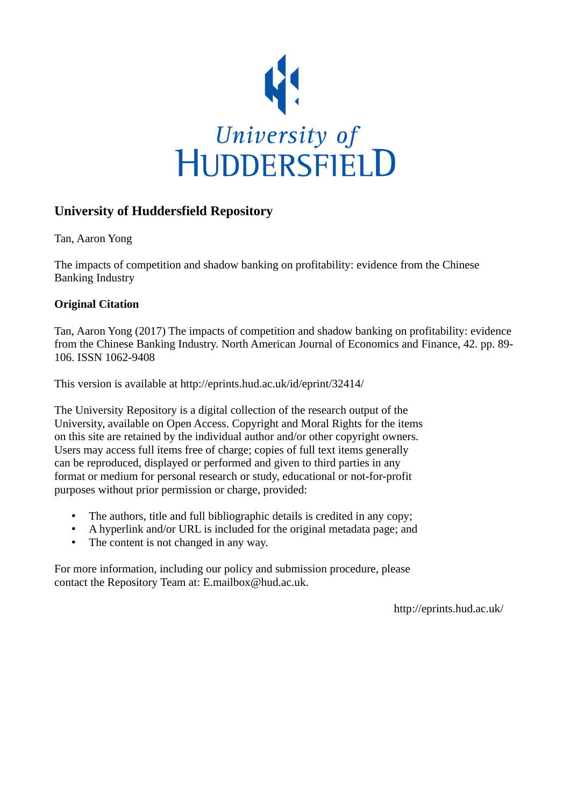

# **University of Huddersfield Repository**

Tan, Aaron Yong

The impacts of competition and shadow banking on profitability: evidence from the Chinese Banking Industry

# **Original Citation**

Tan, Aaron Yong (2017) The impacts of competition and shadow banking on profitability: evidence from the Chinese Banking Industry. North American Journal of Economics and Finance, 42. pp. 89- 106. ISSN 1062-9408

This version is available at http://eprints.hud.ac.uk/id/eprint/32414/

The University Repository is a digital collection of the research output of the University, available on Open Access. Copyright and Moral Rights for the items on this site are retained by the individual author and/or other copyright owners. Users may access full items free of charge; copies of full text items generally can be reproduced, displayed or performed and given to third parties in any format or medium for personal research or study, educational or not-for-profit purposes without prior permission or charge, provided:

- The authors, title and full bibliographic details is credited in any copy;
- A hyperlink and/or URL is included for the original metadata page; and
- The content is not changed in any way.

For more information, including our policy and submission procedure, please contact the Repository Team at: E.mailbox@hud.ac.uk.

http://eprints.hud.ac.uk/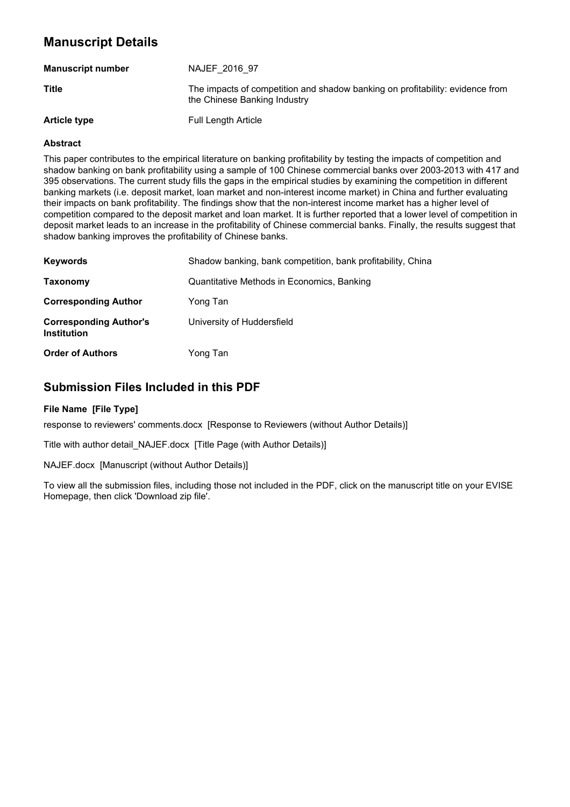# **Manuscript Details**

| <b>Manuscript number</b> | NAJEF 2016 97                                                                                                 |
|--------------------------|---------------------------------------------------------------------------------------------------------------|
| Title                    | The impacts of competition and shadow banking on profitability: evidence from<br>the Chinese Banking Industry |
| <b>Article type</b>      | Full Length Article                                                                                           |

#### **Abstract**

This paper contributes to the empirical literature on banking profitability by testing the impacts of competition and shadow banking on bank profitability using a sample of 100 Chinese commercial banks over 2003-2013 with 417 and 395 observations. The current study fills the gaps in the empirical studies by examining the competition in different banking markets (i.e. deposit market, loan market and non-interest income market) in China and further evaluating their impacts on bank profitability. The findings show that the non-interest income market has a higher level of competition compared to the deposit market and loan market. It is further reported that a lower level of competition in deposit market leads to an increase in the profitability of Chinese commercial banks. Finally, the results suggest that shadow banking improves the profitability of Chinese banks.

| <b>Keywords</b>                                     | Shadow banking, bank competition, bank profitability, China |
|-----------------------------------------------------|-------------------------------------------------------------|
| Taxonomy                                            | Quantitative Methods in Economics, Banking                  |
| <b>Corresponding Author</b>                         | Yong Tan                                                    |
| <b>Corresponding Author's</b><br><b>Institution</b> | University of Huddersfield                                  |
| <b>Order of Authors</b>                             | Yong Tan                                                    |

# **Submission Files Included in this PDF**

#### **File Name [File Type]**

response to reviewers' comments.docx [Response to Reviewers (without Author Details)]

Title with author detail\_NAJEF.docx [Title Page (with Author Details)]

NAJEF.docx [Manuscript (without Author Details)]

To view all the submission files, including those not included in the PDF, click on the manuscript title on your EVISE Homepage, then click 'Download zip file'.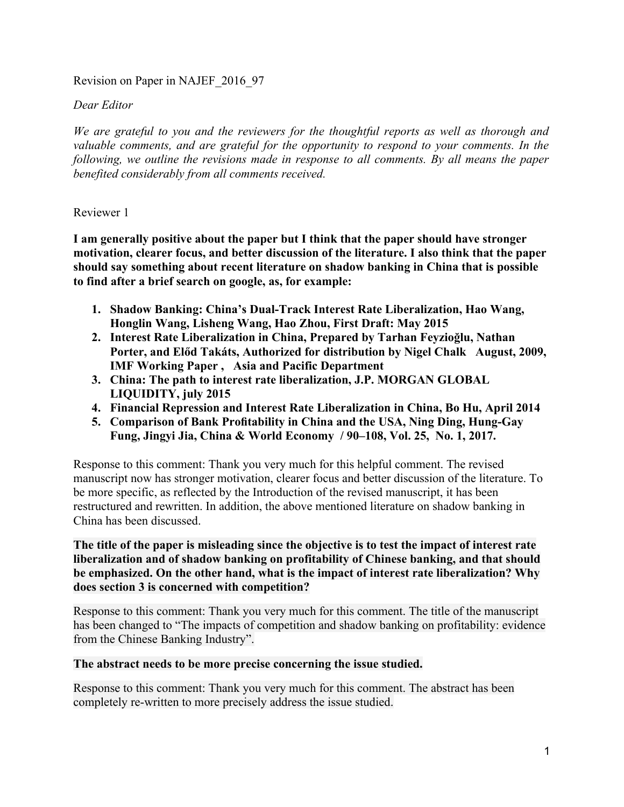# Revision on Paper in NAJEF\_2016\_97

# *Dear Editor*

*We are grateful to you and the reviewers for the thoughtful reports as well as thorough and valuable comments, and are grateful for the opportunity to respond to your comments. In the following, we outline the revisions made in response to all comments. By all means the paper benefited considerably from all comments received.*

# Reviewer 1

**I am generally positive about the paper but I think that the paper should have stronger motivation, clearer focus, and better discussion of the literature. I also think that the paper should say something about recent literature on shadow banking in China that is possible to find after a brief search on google, as, for example:**

- **1. Shadow Banking: China's Dual-Track Interest Rate Liberalization, Hao Wang, Honglin Wang, Lisheng Wang, Hao Zhou, First Draft: May 2015**
- **2. Interest Rate Liberalization in China, Prepared by Tarhan Feyzioğlu, Nathan Porter, and Előd Takáts, Authorized for distribution by Nigel Chalk August, 2009, IMF Working Paper , Asia and Pacific Department**
- **3. China: The path to interest rate liberalization, J.P. MORGAN GLOBAL LIQUIDITY, july 2015**
- **4. Financial Repression and Interest Rate Liberalization in China, Bo Hu, April 2014**
- **5. Comparison of Bank Profitability in China and the USA, Ning Ding, Hung-Gay Fung, Jingyi Jia, China & World Economy / 90–108, Vol. 25, No. 1, 2017.**

Response to this comment: Thank you very much for this helpful comment. The revised manuscript now has stronger motivation, clearer focus and better discussion of the literature. To be more specific, as reflected by the Introduction of the revised manuscript, it has been restructured and rewritten. In addition, the above mentioned literature on shadow banking in China has been discussed.

# **The title of the paper is misleading since the objective is to test the impact of interest rate liberalization and of shadow banking on profitability of Chinese banking, and that should be emphasized. On the other hand, what is the impact of interest rate liberalization? Why does section 3 is concerned with competition?**

Response to this comment: Thank you very much for this comment. The title of the manuscript has been changed to "The impacts of competition and shadow banking on profitability: evidence from the Chinese Banking Industry".

### **The abstract needs to be more precise concerning the issue studied.**

Response to this comment: Thank you very much for this comment. The abstract has been completely re-written to more precisely address the issue studied.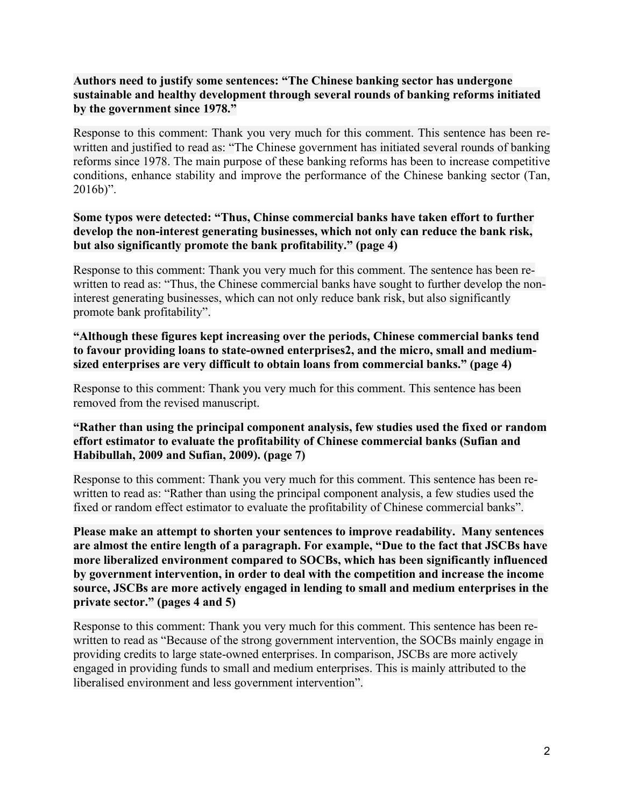# **Authors need to justify some sentences: "The Chinese banking sector has undergone sustainable and healthy development through several rounds of banking reforms initiated by the government since 1978."**

Response to this comment: Thank you very much for this comment. This sentence has been rewritten and justified to read as: "The Chinese government has initiated several rounds of banking reforms since 1978. The main purpose of these banking reforms has been to increase competitive conditions, enhance stability and improve the performance of the Chinese banking sector (Tan, 2016b)".

# **Some typos were detected: "Thus, Chinse commercial banks have taken effort to further develop the non-interest generating businesses, which not only can reduce the bank risk, but also significantly promote the bank profitability." (page 4)**

Response to this comment: Thank you very much for this comment. The sentence has been rewritten to read as: "Thus, the Chinese commercial banks have sought to further develop the noninterest generating businesses, which can not only reduce bank risk, but also significantly promote bank profitability".

# **"Although these figures kept increasing over the periods, Chinese commercial banks tend to favour providing loans to state-owned enterprises2, and the micro, small and mediumsized enterprises are very difficult to obtain loans from commercial banks." (page 4)**

Response to this comment: Thank you very much for this comment. This sentence has been removed from the revised manuscript.

# **"Rather than using the principal component analysis, few studies used the fixed or random effort estimator to evaluate the profitability of Chinese commercial banks (Sufian and Habibullah, 2009 and Sufian, 2009). (page 7)**

Response to this comment: Thank you very much for this comment. This sentence has been rewritten to read as: "Rather than using the principal component analysis, a few studies used the fixed or random effect estimator to evaluate the profitability of Chinese commercial banks".

**Please make an attempt to shorten your sentences to improve readability. Many sentences are almost the entire length of a paragraph. For example, "Due to the fact that JSCBs have more liberalized environment compared to SOCBs, which has been significantly influenced by government intervention, in order to deal with the competition and increase the income source, JSCBs are more actively engaged in lending to small and medium enterprises in the private sector." (pages 4 and 5)**

Response to this comment: Thank you very much for this comment. This sentence has been rewritten to read as "Because of the strong government intervention, the SOCBs mainly engage in providing credits to large state-owned enterprises. In comparison, JSCBs are more actively engaged in providing funds to small and medium enterprises. This is mainly attributed to the liberalised environment and less government intervention".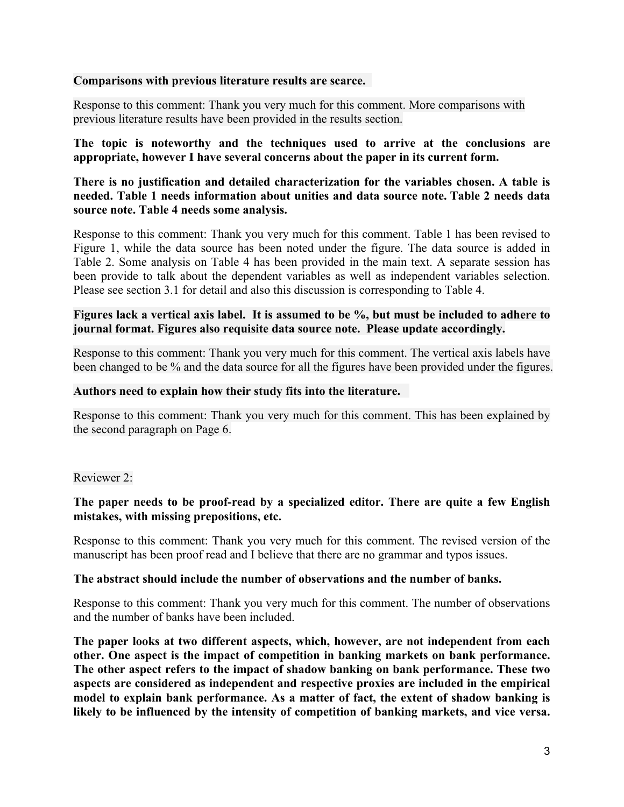# **Comparisons with previous literature results are scarce.**

Response to this comment: Thank you very much for this comment. More comparisons with previous literature results have been provided in the results section.

**The topic is noteworthy and the techniques used to arrive at the conclusions are appropriate, however I have several concerns about the paper in its current form.**

# **There is no justification and detailed characterization for the variables chosen. A table is needed. Table 1 needs information about unities and data source note. Table 2 needs data source note. Table 4 needs some analysis.**

Response to this comment: Thank you very much for this comment. Table 1 has been revised to Figure 1, while the data source has been noted under the figure. The data source is added in Table 2. Some analysis on Table 4 has been provided in the main text. A separate session has been provide to talk about the dependent variables as well as independent variables selection. Please see section 3.1 for detail and also this discussion is corresponding to Table 4.

# **Figures lack a vertical axis label. It is assumed to be %, but must be included to adhere to journal format. Figures also requisite data source note. Please update accordingly.**

Response to this comment: Thank you very much for this comment. The vertical axis labels have been changed to be % and the data source for all the figures have been provided under the figures.

# **Authors need to explain how their study fits into the literature.**

Response to this comment: Thank you very much for this comment. This has been explained by the second paragraph on Page 6.

# Reviewer 2:

# **The paper needs to be proof-read by a specialized editor. There are quite a few English mistakes, with missing prepositions, etc.**

Response to this comment: Thank you very much for this comment. The revised version of the manuscript has been proof read and I believe that there are no grammar and typos issues.

### **The abstract should include the number of observations and the number of banks.**

Response to this comment: Thank you very much for this comment. The number of observations and the number of banks have been included.

**The paper looks at two different aspects, which, however, are not independent from each other. One aspect is the impact of competition in banking markets on bank performance. The other aspect refers to the impact of shadow banking on bank performance. These two aspects are considered as independent and respective proxies are included in the empirical model to explain bank performance. As a matter of fact, the extent of shadow banking is likely to be influenced by the intensity of competition of banking markets, and vice versa.**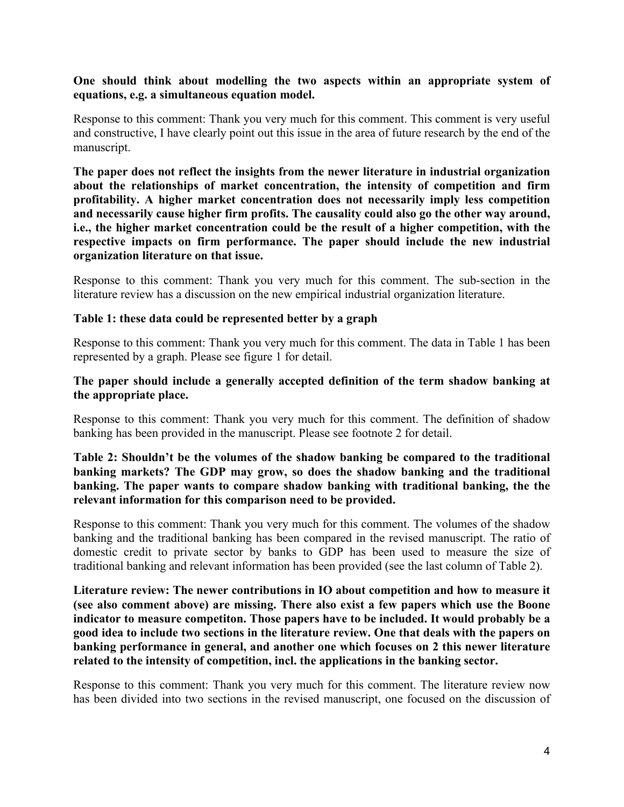# **One should think about modelling the two aspects within an appropriate system of equations, e.g. a simultaneous equation model.**

Response to this comment: Thank you very much for this comment. This comment is very useful and constructive, I have clearly point out this issue in the area of future research by the end of the manuscript.

**The paper does not reflect the insights from the newer literature in industrial organization about the relationships of market concentration, the intensity of competition and firm profitability. A higher market concentration does not necessarily imply less competition and necessarily cause higher firm profits. The causality could also go the other way around, i.e., the higher market concentration could be the result of a higher competition, with the respective impacts on firm performance. The paper should include the new industrial organization literature on that issue.**

Response to this comment: Thank you very much for this comment. The sub-section in the literature review has a discussion on the new empirical industrial organization literature.

### **Table 1: these data could be represented better by a graph**

Response to this comment: Thank you very much for this comment. The data in Table 1 has been represented by a graph. Please see figure 1 for detail.

### **The paper should include a generally accepted definition of the term shadow banking at the appropriate place.**

Response to this comment: Thank you very much for this comment. The definition of shadow banking has been provided in the manuscript. Please see footnote 2 for detail.

# **Table 2: Shouldn't be the volumes of the shadow banking be compared to the traditional banking markets? The GDP may grow, so does the shadow banking and the traditional banking. The paper wants to compare shadow banking with traditional banking, the the relevant information for this comparison need to be provided.**

Response to this comment: Thank you very much for this comment. The volumes of the shadow banking and the traditional banking has been compared in the revised manuscript. The ratio of domestic credit to private sector by banks to GDP has been used to measure the size of traditional banking and relevant information has been provided (see the last column of Table 2).

**Literature review: The newer contributions in IO about competition and how to measure it (see also comment above) are missing. There also exist a few papers which use the Boone indicator to measure competiton. Those papers have to be included. It would probably be a good idea to include two sections in the literature review. One that deals with the papers on banking performance in general, and another one which focuses on 2 this newer literature related to the intensity of competition, incl. the applications in the banking sector.**

Response to this comment: Thank you very much for this comment. The literature review now has been divided into two sections in the revised manuscript, one focused on the discussion of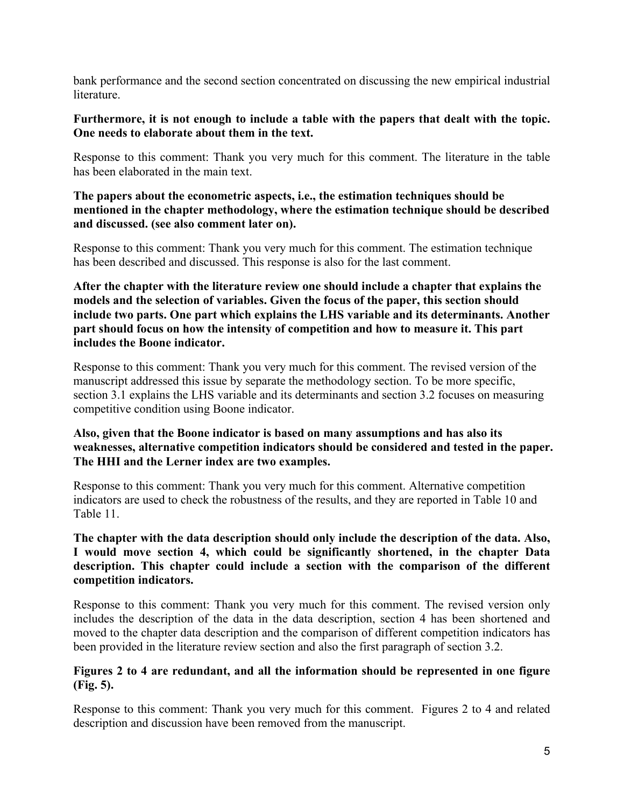bank performance and the second section concentrated on discussing the new empirical industrial literature.

# **Furthermore, it is not enough to include a table with the papers that dealt with the topic. One needs to elaborate about them in the text.**

Response to this comment: Thank you very much for this comment. The literature in the table has been elaborated in the main text.

# **The papers about the econometric aspects, i.e., the estimation techniques should be mentioned in the chapter methodology, where the estimation technique should be described and discussed. (see also comment later on).**

Response to this comment: Thank you very much for this comment. The estimation technique has been described and discussed. This response is also for the last comment.

**After the chapter with the literature review one should include a chapter that explains the models and the selection of variables. Given the focus of the paper, this section should include two parts. One part which explains the LHS variable and its determinants. Another part should focus on how the intensity of competition and how to measure it. This part includes the Boone indicator.**

Response to this comment: Thank you very much for this comment. The revised version of the manuscript addressed this issue by separate the methodology section. To be more specific, section 3.1 explains the LHS variable and its determinants and section 3.2 focuses on measuring competitive condition using Boone indicator.

# **Also, given that the Boone indicator is based on many assumptions and has also its weaknesses, alternative competition indicators should be considered and tested in the paper. The HHI and the Lerner index are two examples.**

Response to this comment: Thank you very much for this comment. Alternative competition indicators are used to check the robustness of the results, and they are reported in Table 10 and Table 11.

# **The chapter with the data description should only include the description of the data. Also, I would move section 4, which could be significantly shortened, in the chapter Data description. This chapter could include a section with the comparison of the different competition indicators.**

Response to this comment: Thank you very much for this comment. The revised version only includes the description of the data in the data description, section 4 has been shortened and moved to the chapter data description and the comparison of different competition indicators has been provided in the literature review section and also the first paragraph of section 3.2.

# **Figures 2 to 4 are redundant, and all the information should be represented in one figure (Fig. 5).**

Response to this comment: Thank you very much for this comment. Figures 2 to 4 and related description and discussion have been removed from the manuscript.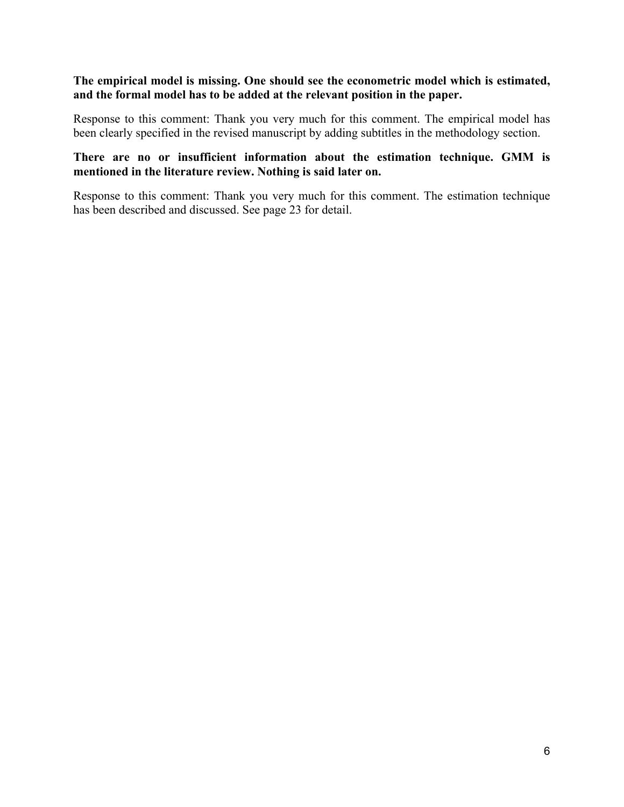# **The empirical model is missing. One should see the econometric model which is estimated, and the formal model has to be added at the relevant position in the paper.**

Response to this comment: Thank you very much for this comment. The empirical model has been clearly specified in the revised manuscript by adding subtitles in the methodology section.

# **There are no or insufficient information about the estimation technique. GMM is mentioned in the literature review. Nothing is said later on.**

Response to this comment: Thank you very much for this comment. The estimation technique has been described and discussed. See page 23 for detail.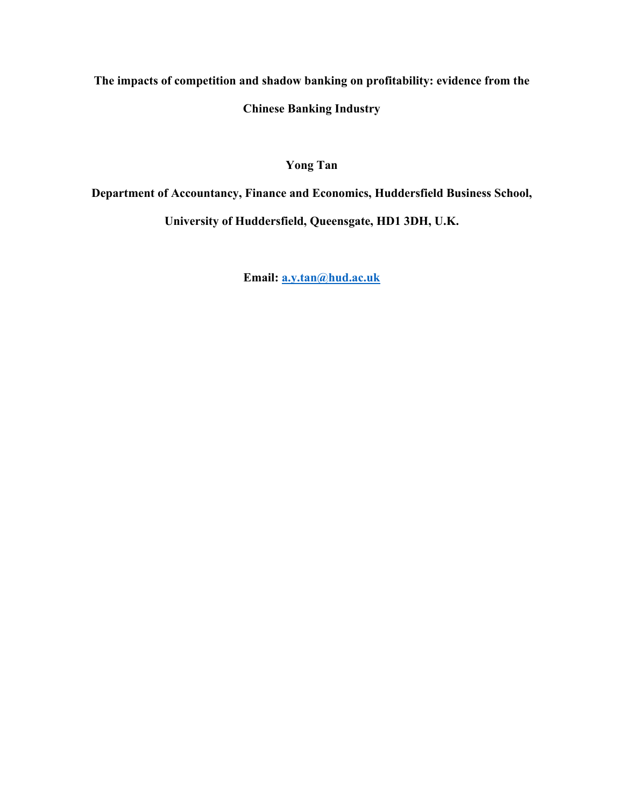**The impacts of competition and shadow banking on profitability: evidence from the** 

**Chinese Banking Industry** 

**Yong Tan**

**Department of Accountancy, Finance and Economics, Huddersfield Business School,** 

**University of Huddersfield, Queensgate, HD1 3DH, U.K.**

**Email: [a.y.tan@hud.ac.uk](mailto:a.y.tan@hud.ac.uk)**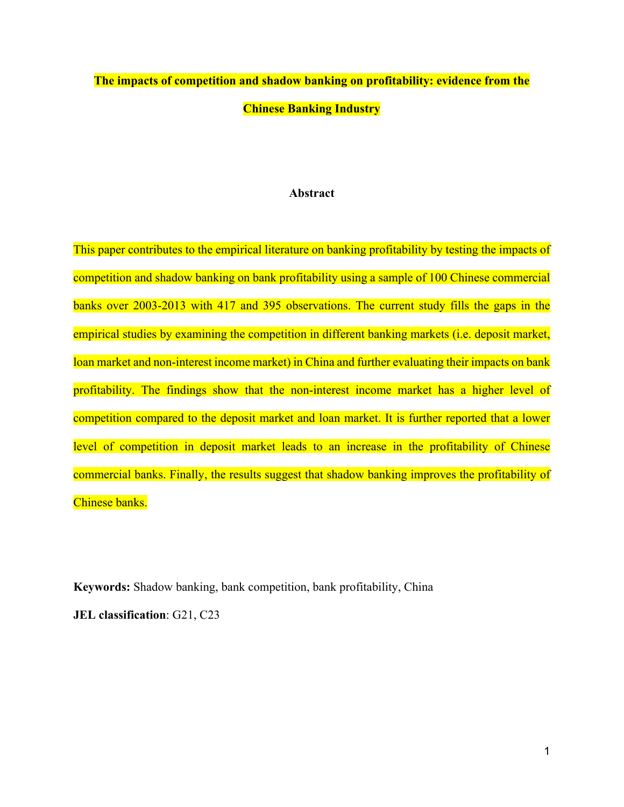# **The impacts of competition and shadow banking on profitability: evidence from the Chinese Banking Industry**

#### **Abstract**

This paper contributes to the empirical literature on banking profitability by testing the impacts of competition and shadow banking on bank profitability using a sample of 100 Chinese commercial banks over 2003-2013 with 417 and 395 observations. The current study fills the gaps in the empirical studies by examining the competition in different banking markets (i.e. deposit market, loan market and non-interest income market) in China and further evaluating their impacts on bank profitability. The findings show that the non-interest income market has a higher level of competition compared to the deposit market and loan market. It is further reported that a lower level of competition in deposit market leads to an increase in the profitability of Chinese commercial banks. Finally, the results suggest that shadow banking improves the profitability of Chinese banks.

**Keywords:** Shadow banking, bank competition, bank profitability, China

**JEL classification**: G21, C23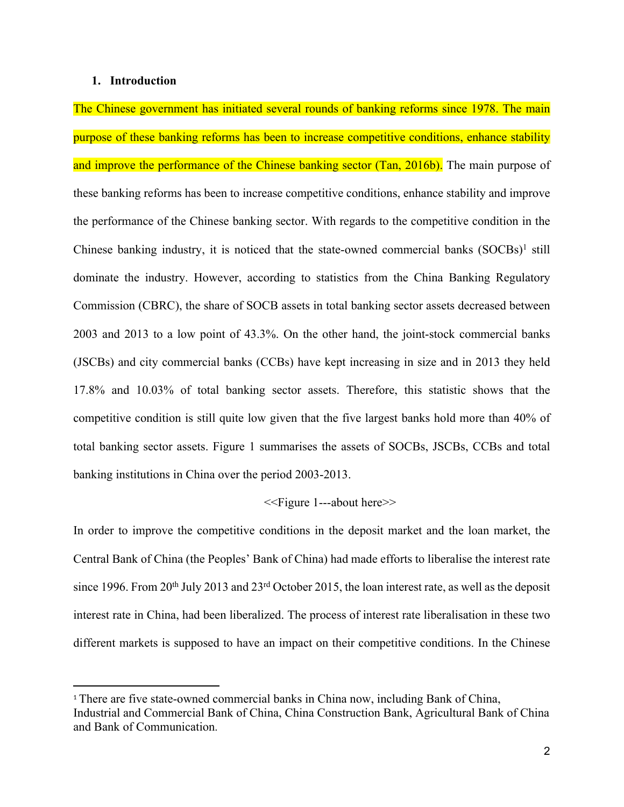#### **1. Introduction**

The Chinese government has initiated several rounds of banking reforms since 1978. The main purpose of these banking reforms has been to increase competitive conditions, enhance stability and improve the performance of the Chinese banking sector (Tan, 2016b). The main purpose of these banking reforms has been to increase competitive conditions, enhance stability and improve the performance of the Chinese banking sector. With regards to the competitive condition in the Chinese banking industry, it is noticed that the state-owned commercial banks (SOCBs)<sup>1</sup> still dominate the industry. However, according to statistics from the China Banking Regulatory Commission (CBRC), the share of SOCB assets in total banking sector assets decreased between 2003 and 2013 to a low point of 43.3%. On the other hand, the joint-stock commercial banks (JSCBs) and city commercial banks (CCBs) have kept increasing in size and in 2013 they held 17.8% and 10.03% of total banking sector assets. Therefore, this statistic shows that the competitive condition is still quite low given that the five largest banks hold more than 40% of total banking sector assets. Figure 1 summarises the assets of SOCBs, JSCBs, CCBs and total banking institutions in China over the period 2003-2013.

#### <<Figure 1---about here>>

In order to improve the competitive conditions in the deposit market and the loan market, the Central Bank of China (the Peoples' Bank of China) had made efforts to liberalise the interest rate since 1996. From 20<sup>th</sup> July 2013 and 23<sup>rd</sup> October 2015, the loan interest rate, as well as the deposit interest rate in China, had been liberalized. The process of interest rate liberalisation in these two different markets is supposed to have an impact on their competitive conditions. In the Chinese

<sup>1</sup> There are five state-owned commercial banks in China now, including Bank of China, Industrial and Commercial Bank of China, China Construction Bank, Agricultural Bank of China and Bank of Communication.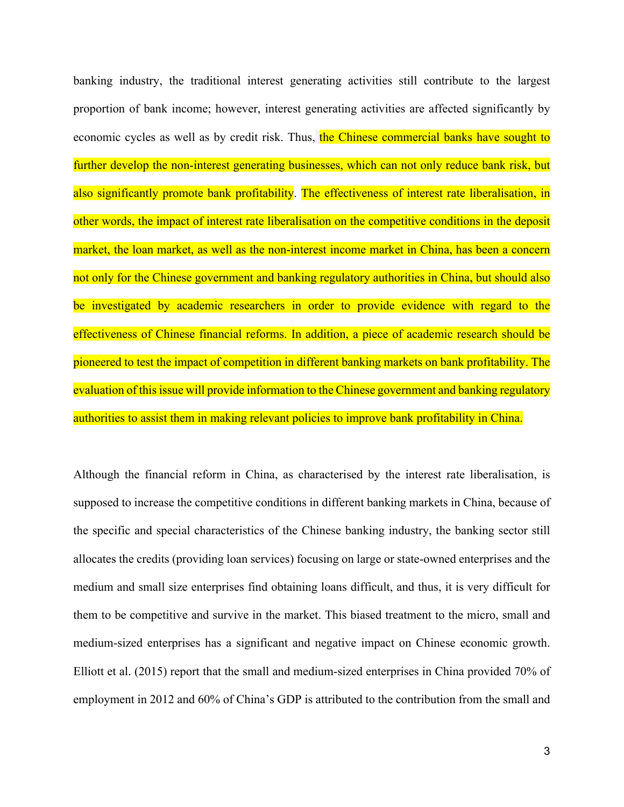banking industry, the traditional interest generating activities still contribute to the largest proportion of bank income; however, interest generating activities are affected significantly by economic cycles as well as by credit risk. Thus, the Chinese commercial banks have sought to further develop the non-interest generating businesses, which can not only reduce bank risk, but also significantly promote bank profitability. The effectiveness of interest rate liberalisation, in other words, the impact of interest rate liberalisation on the competitive conditions in the deposit market, the loan market, as well as the non-interest income market in China, has been a concern not only for the Chinese government and banking regulatory authorities in China, but should also be investigated by academic researchers in order to provide evidence with regard to the effectiveness of Chinese financial reforms. In addition, a piece of academic research should be pioneered to test the impact of competition in different banking markets on bank profitability. The evaluation of this issue will provide information to the Chinese government and banking regulatory authorities to assist them in making relevant policies to improve bank profitability in China.

Although the financial reform in China, as characterised by the interest rate liberalisation, is supposed to increase the competitive conditions in different banking markets in China, because of the specific and special characteristics of the Chinese banking industry, the banking sector still allocates the credits (providing loan services) focusing on large or state-owned enterprises and the medium and small size enterprises find obtaining loans difficult, and thus, it is very difficult for them to be competitive and survive in the market. This biased treatment to the micro, small and medium-sized enterprises has a significant and negative impact on Chinese economic growth. Elliott et al. (2015) report that the small and medium-sized enterprises in China provided 70% of employment in 2012 and 60% of China's GDP is attributed to the contribution from the small and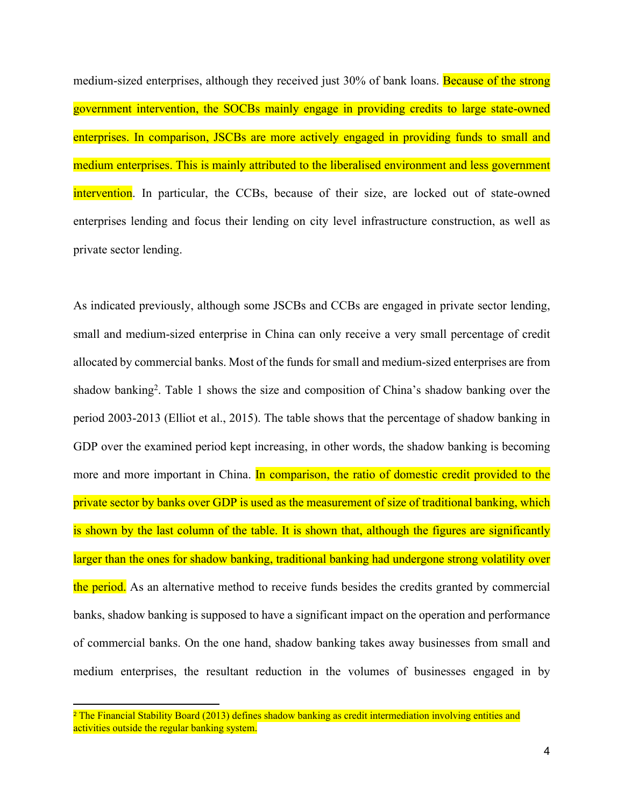medium-sized enterprises, although they received just 30% of bank loans. Because of the strong government intervention, the SOCBs mainly engage in providing credits to large state-owned enterprises. In comparison, JSCBs are more actively engaged in providing funds to small and medium enterprises. This is mainly attributed to the liberalised environment and less government intervention. In particular, the CCBs, because of their size, are locked out of state-owned enterprises lending and focus their lending on city level infrastructure construction, as well as private sector lending.

As indicated previously, although some JSCBs and CCBs are engaged in private sector lending, small and medium-sized enterprise in China can only receive a very small percentage of credit allocated by commercial banks. Most of the funds for small and medium-sized enterprises are from shadow banking<sup>2</sup> . Table 1 shows the size and composition of China's shadow banking over the period 2003-2013 (Elliot et al., 2015). The table shows that the percentage of shadow banking in GDP over the examined period kept increasing, in other words, the shadow banking is becoming more and more important in China. In comparison, the ratio of domestic credit provided to the private sector by banks over GDP is used as the measurement of size of traditional banking, which is shown by the last column of the table. It is shown that, although the figures are significantly larger than the ones for shadow banking, traditional banking had undergone strong volatility over the period. As an alternative method to receive funds besides the credits granted by commercial banks, shadow banking is supposed to have a significant impact on the operation and performance of commercial banks. On the one hand, shadow banking takes away businesses from small and medium enterprises, the resultant reduction in the volumes of businesses engaged in by

<sup>&</sup>lt;sup>2</sup> The Financial Stability Board (2013) defines shadow banking as credit intermediation involving entities and activities outside the regular banking system.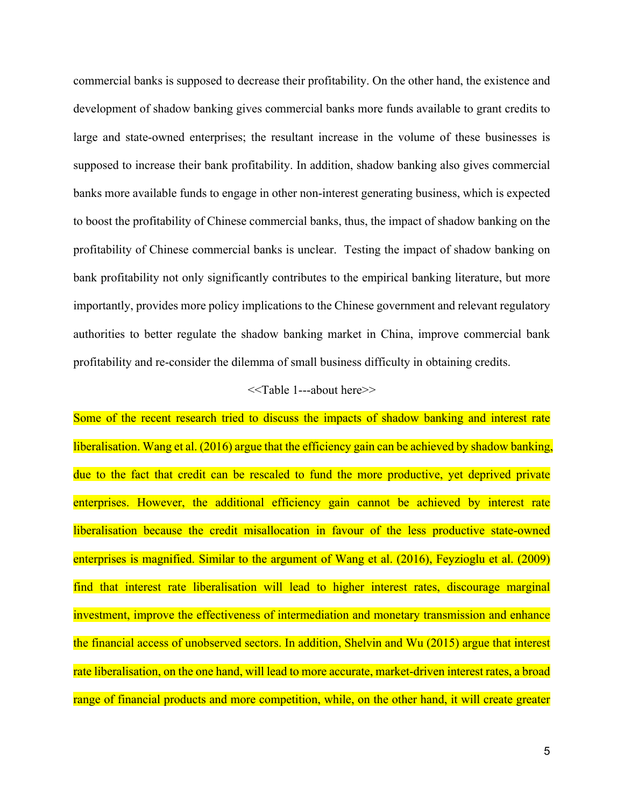commercial banks is supposed to decrease their profitability. On the other hand, the existence and development of shadow banking gives commercial banks more funds available to grant credits to large and state-owned enterprises; the resultant increase in the volume of these businesses is supposed to increase their bank profitability. In addition, shadow banking also gives commercial banks more available funds to engage in other non-interest generating business, which is expected to boost the profitability of Chinese commercial banks, thus, the impact of shadow banking on the profitability of Chinese commercial banks is unclear. Testing the impact of shadow banking on bank profitability not only significantly contributes to the empirical banking literature, but more importantly, provides more policy implications to the Chinese government and relevant regulatory authorities to better regulate the shadow banking market in China, improve commercial bank profitability and re-consider the dilemma of small business difficulty in obtaining credits.

#### <<Table 1---about here>>

Some of the recent research tried to discuss the impacts of shadow banking and interest rate liberalisation. Wang et al. (2016) argue that the efficiency gain can be achieved by shadow banking, due to the fact that credit can be rescaled to fund the more productive, yet deprived private enterprises. However, the additional efficiency gain cannot be achieved by interest rate liberalisation because the credit misallocation in favour of the less productive state-owned enterprises is magnified. Similar to the argument of Wang et al. (2016), Feyzioglu et al. (2009) find that interest rate liberalisation will lead to higher interest rates, discourage marginal investment, improve the effectiveness of intermediation and monetary transmission and enhance the financial access of unobserved sectors. In addition, Shelvin and Wu (2015) argue that interest rate liberalisation, on the one hand, will lead to more accurate, market-driven interest rates, a broad range of financial products and more competition, while, on the other hand, it will create greater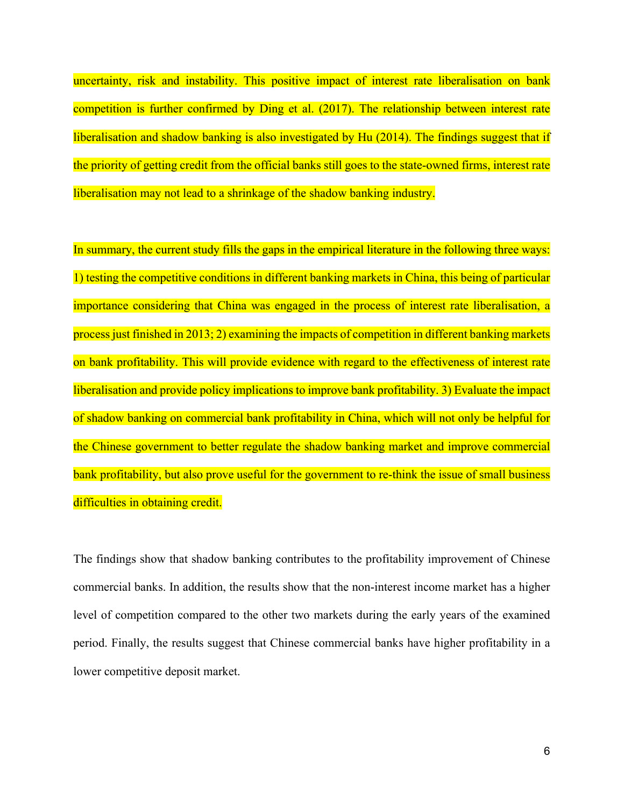uncertainty, risk and instability. This positive impact of interest rate liberalisation on bank competition is further confirmed by Ding et al. (2017). The relationship between interest rate liberalisation and shadow banking is also investigated by Hu (2014). The findings suggest that if the priority of getting credit from the official banks still goes to the state-owned firms, interest rate liberalisation may not lead to a shrinkage of the shadow banking industry.

In summary, the current study fills the gaps in the empirical literature in the following three ways: 1) testing the competitive conditions in different banking markets in China, this being of particular importance considering that China was engaged in the process of interest rate liberalisation, a process just finished in 2013; 2) examining the impacts of competition in different banking markets on bank profitability. This will provide evidence with regard to the effectiveness of interest rate liberalisation and provide policy implications to improve bank profitability. 3) Evaluate the impact of shadow banking on commercial bank profitability in China, which will not only be helpful for the Chinese government to better regulate the shadow banking market and improve commercial bank profitability, but also prove useful for the government to re-think the issue of small business difficulties in obtaining credit.

The findings show that shadow banking contributes to the profitability improvement of Chinese commercial banks. In addition, the results show that the non-interest income market has a higher level of competition compared to the other two markets during the early years of the examined period. Finally, the results suggest that Chinese commercial banks have higher profitability in a lower competitive deposit market.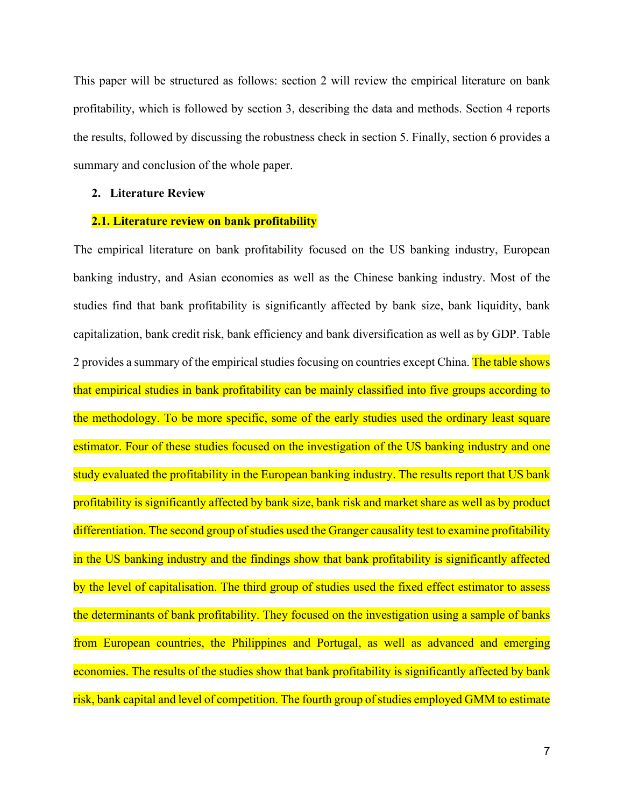This paper will be structured as follows: section 2 will review the empirical literature on bank profitability, which is followed by section 3, describing the data and methods. Section 4 reports the results, followed by discussing the robustness check in section 5. Finally, section 6 provides a summary and conclusion of the whole paper.

#### **2. Literature Review**

#### **2.1. Literature review on bank profitability**

The empirical literature on bank profitability focused on the US banking industry, European banking industry, and Asian economies as well as the Chinese banking industry. Most of the studies find that bank profitability is significantly affected by bank size, bank liquidity, bank capitalization, bank credit risk, bank efficiency and bank diversification as well as by GDP. Table 2 provides a summary of the empirical studies focusing on countries except China. The table shows that empirical studies in bank profitability can be mainly classified into five groups according to the methodology. To be more specific, some of the early studies used the ordinary least square estimator. Four of these studies focused on the investigation of the US banking industry and one study evaluated the profitability in the European banking industry. The results report that US bank profitability is significantly affected by bank size, bank risk and market share as well as by product differentiation. The second group of studies used the Granger causality test to examine profitability in the US banking industry and the findings show that bank profitability is significantly affected by the level of capitalisation. The third group of studies used the fixed effect estimator to assess the determinants of bank profitability. They focused on the investigation using a sample of banks from European countries, the Philippines and Portugal, as well as advanced and emerging economies. The results of the studies show that bank profitability is significantly affected by bank risk, bank capital and level of competition. The fourth group of studies employed GMM to estimate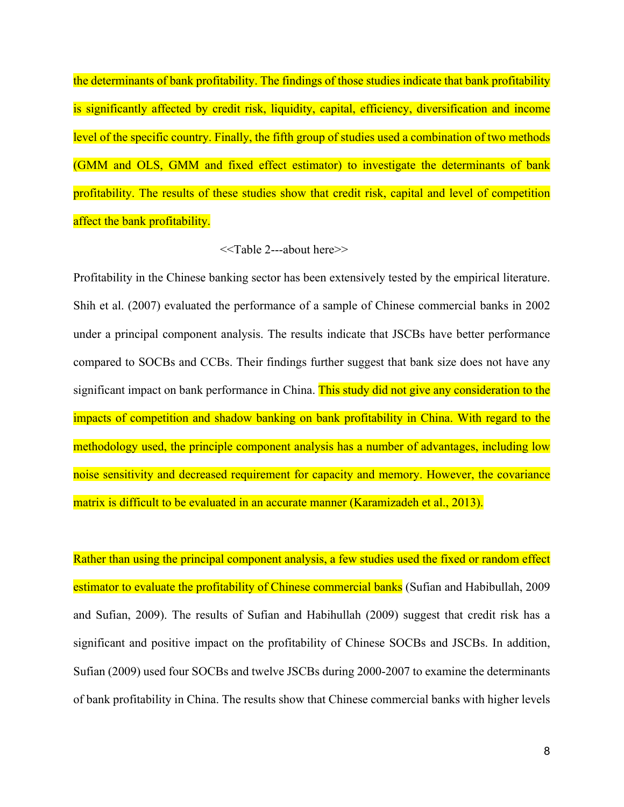the determinants of bank profitability. The findings of those studies indicate that bank profitability is significantly affected by credit risk, liquidity, capital, efficiency, diversification and income level of the specific country. Finally, the fifth group of studies used a combination of two methods (GMM and OLS, GMM and fixed effect estimator) to investigate the determinants of bank profitability. The results of these studies show that credit risk, capital and level of competition affect the bank profitability.

#### <<Table 2---about here>>

Profitability in the Chinese banking sector has been extensively tested by the empirical literature. Shih et al. (2007) evaluated the performance of a sample of Chinese commercial banks in 2002 under a principal component analysis. The results indicate that JSCBs have better performance compared to SOCBs and CCBs. Their findings further suggest that bank size does not have any significant impact on bank performance in China. This study did not give any consideration to the impacts of competition and shadow banking on bank profitability in China. With regard to the methodology used, the principle component analysis has a number of advantages, including low noise sensitivity and decreased requirement for capacity and memory. However, the covariance matrix is difficult to be evaluated in an accurate manner (Karamizadeh et al., 2013).

Rather than using the principal component analysis, a few studies used the fixed or random effect estimator to evaluate the profitability of Chinese commercial banks (Sufian and Habibullah, 2009 and Sufian, 2009). The results of Sufian and Habihullah (2009) suggest that credit risk has a significant and positive impact on the profitability of Chinese SOCBs and JSCBs. In addition, Sufian (2009) used four SOCBs and twelve JSCBs during 2000-2007 to examine the determinants of bank profitability in China. The results show that Chinese commercial banks with higher levels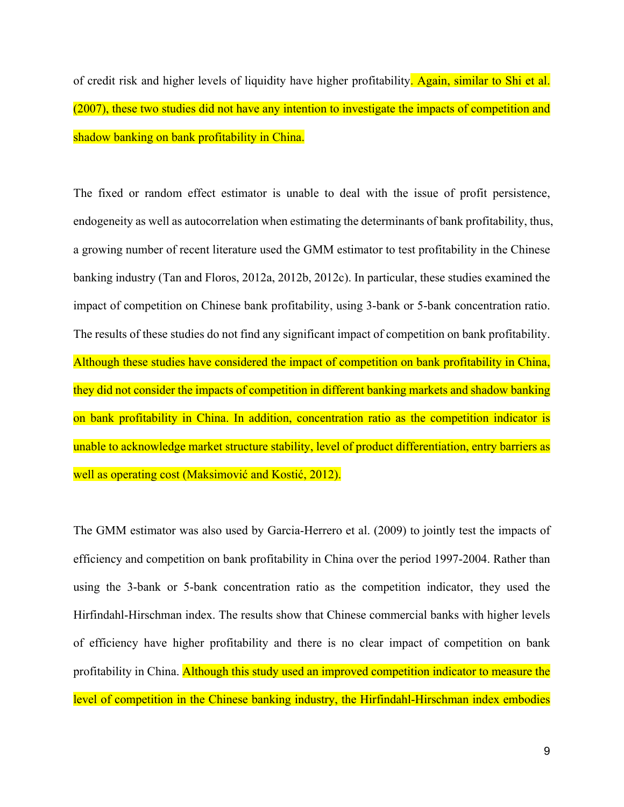of credit risk and higher levels of liquidity have higher profitability. Again, similar to Shi et al. (2007), these two studies did not have any intention to investigate the impacts of competition and shadow banking on bank profitability in China.

The fixed or random effect estimator is unable to deal with the issue of profit persistence, endogeneity as well as autocorrelation when estimating the determinants of bank profitability, thus, a growing number of recent literature used the GMM estimator to test profitability in the Chinese banking industry (Tan and Floros, 2012a, 2012b, 2012c). In particular, these studies examined the impact of competition on Chinese bank profitability, using 3-bank or 5-bank concentration ratio. The results of these studies do not find any significant impact of competition on bank profitability. Although these studies have considered the impact of competition on bank profitability in China, they did not consider the impacts of competition in different banking markets and shadow banking on bank profitability in China. In addition, concentration ratio as the competition indicator is unable to acknowledge market structure stability, level of product differentiation, entry barriers as well as operating cost (Maksimović and Kostić, 2012).

The GMM estimator was also used by Garcia-Herrero et al. (2009) to jointly test the impacts of efficiency and competition on bank profitability in China over the period 1997-2004. Rather than using the 3-bank or 5-bank concentration ratio as the competition indicator, they used the Hirfindahl-Hirschman index. The results show that Chinese commercial banks with higher levels of efficiency have higher profitability and there is no clear impact of competition on bank profitability in China. Although this study used an improved competition indicator to measure the level of competition in the Chinese banking industry, the Hirfindahl-Hirschman index embodies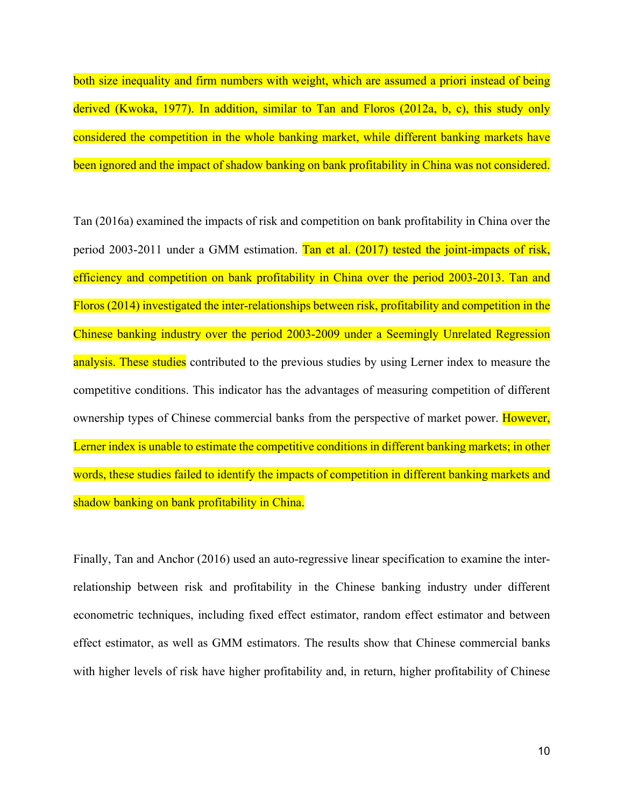both size inequality and firm numbers with weight, which are assumed a priori instead of being derived (Kwoka, 1977). In addition, similar to Tan and Floros (2012a, b, c), this study only considered the competition in the whole banking market, while different banking markets have been ignored and the impact of shadow banking on bank profitability in China was not considered.

Tan (2016a) examined the impacts of risk and competition on bank profitability in China over the period 2003-2011 under a GMM estimation. Tan et al. (2017) tested the joint-impacts of risk, efficiency and competition on bank profitability in China over the period 2003-2013. Tan and Floros (2014) investigated the inter-relationships between risk, profitability and competition in the Chinese banking industry over the period 2003-2009 under a Seemingly Unrelated Regression analysis. These studies contributed to the previous studies by using Lerner index to measure the competitive conditions. This indicator has the advantages of measuring competition of different ownership types of Chinese commercial banks from the perspective of market power. However, Lerner index is unable to estimate the competitive conditions in different banking markets; in other words, these studies failed to identify the impacts of competition in different banking markets and shadow banking on bank profitability in China.

Finally, Tan and Anchor (2016) used an auto-regressive linear specification to examine the interrelationship between risk and profitability in the Chinese banking industry under different econometric techniques, including fixed effect estimator, random effect estimator and between effect estimator, as well as GMM estimators. The results show that Chinese commercial banks with higher levels of risk have higher profitability and, in return, higher profitability of Chinese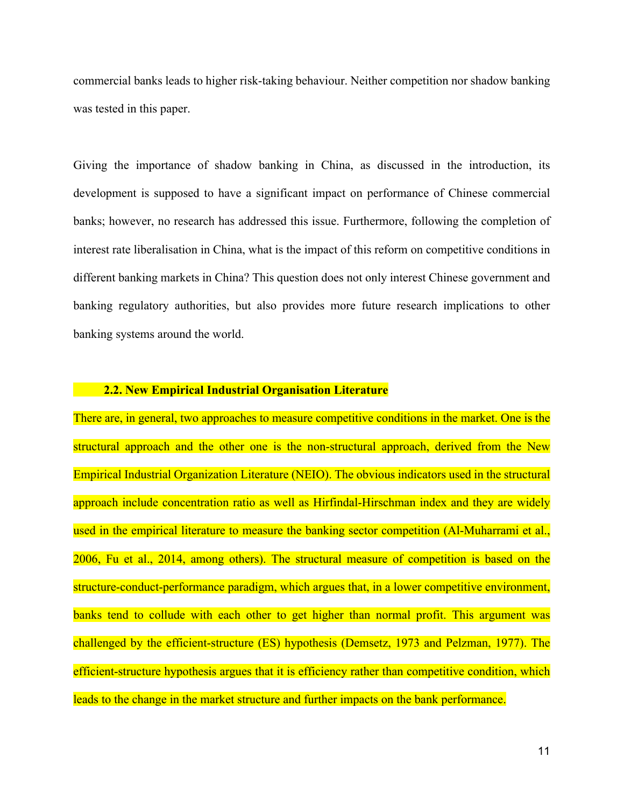commercial banks leads to higher risk-taking behaviour. Neither competition nor shadow banking was tested in this paper.

Giving the importance of shadow banking in China, as discussed in the introduction, its development is supposed to have a significant impact on performance of Chinese commercial banks; however, no research has addressed this issue. Furthermore, following the completion of interest rate liberalisation in China, what is the impact of this reform on competitive conditions in different banking markets in China? This question does not only interest Chinese government and banking regulatory authorities, but also provides more future research implications to other banking systems around the world.

#### **2.2. New Empirical Industrial Organisation Literature**

There are, in general, two approaches to measure competitive conditions in the market. One is the structural approach and the other one is the non-structural approach, derived from the New Empirical Industrial Organization Literature (NEIO). The obvious indicators used in the structural approach include concentration ratio as well as Hirfindal-Hirschman index and they are widely used in the empirical literature to measure the banking sector competition (Al-Muharrami et al., 2006, Fu et al., 2014, among others). The structural measure of competition is based on the structure-conduct-performance paradigm, which argues that, in a lower competitive environment, banks tend to collude with each other to get higher than normal profit. This argument was challenged by the efficient-structure (ES) hypothesis (Demsetz, 1973 and Pelzman, 1977). The efficient-structure hypothesis argues that it is efficiency rather than competitive condition, which leads to the change in the market structure and further impacts on the bank performance.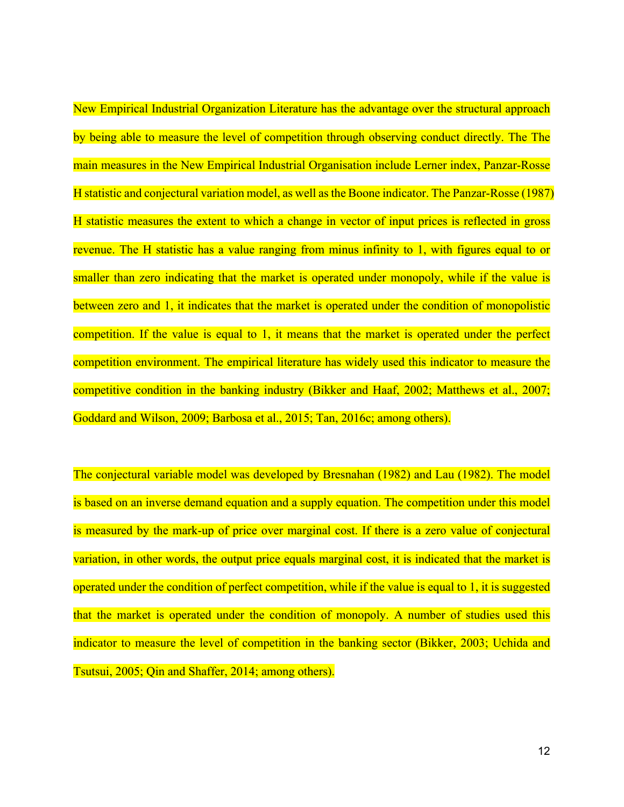New Empirical Industrial Organization Literature has the advantage over the structural approach by being able to measure the level of competition through observing conduct directly. The The main measures in the New Empirical Industrial Organisation include Lerner index, Panzar-Rosse H statistic and conjectural variation model, as well as the Boone indicator. The Panzar-Rosse (1987) H statistic measures the extent to which a change in vector of input prices is reflected in gross revenue. The H statistic has a value ranging from minus infinity to 1, with figures equal to or smaller than zero indicating that the market is operated under monopoly, while if the value is between zero and 1, it indicates that the market is operated under the condition of monopolistic competition. If the value is equal to 1, it means that the market is operated under the perfect competition environment. The empirical literature has widely used this indicator to measure the competitive condition in the banking industry (Bikker and Haaf, 2002; Matthews et al., 2007; Goddard and Wilson, 2009; Barbosa et al., 2015; Tan, 2016c; among others).

The conjectural variable model was developed by Bresnahan (1982) and Lau (1982). The model is based on an inverse demand equation and a supply equation. The competition under this model is measured by the mark-up of price over marginal cost. If there is a zero value of conjectural variation, in other words, the output price equals marginal cost, it is indicated that the market is operated under the condition of perfect competition, while if the value is equal to 1, it is suggested that the market is operated under the condition of monopoly. A number of studies used this indicator to measure the level of competition in the banking sector (Bikker, 2003; Uchida and Tsutsui, 2005; Qin and Shaffer, 2014; among others).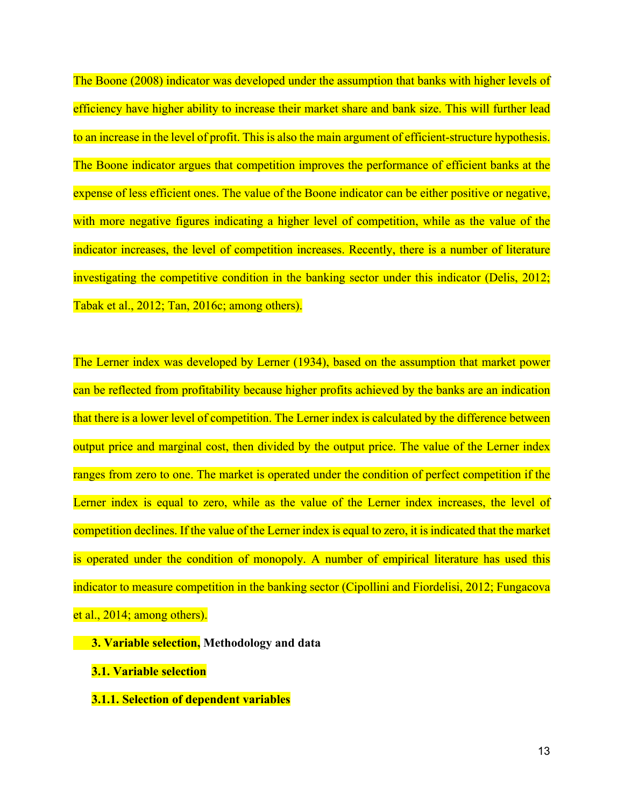The Boone (2008) indicator was developed under the assumption that banks with higher levels of efficiency have higher ability to increase their market share and bank size. This will further lead to an increase in the level of profit. This is also the main argument of efficient-structure hypothesis. The Boone indicator argues that competition improves the performance of efficient banks at the expense of less efficient ones. The value of the Boone indicator can be either positive or negative, with more negative figures indicating a higher level of competition, while as the value of the indicator increases, the level of competition increases. Recently, there is a number of literature investigating the competitive condition in the banking sector under this indicator (Delis, 2012; Tabak et al., 2012; Tan, 2016c; among others).

The Lerner index was developed by Lerner (1934), based on the assumption that market power can be reflected from profitability because higher profits achieved by the banks are an indication that there is a lower level of competition. The Lerner index is calculated by the difference between output price and marginal cost, then divided by the output price. The value of the Lerner index ranges from zero to one. The market is operated under the condition of perfect competition if the Lerner index is equal to zero, while as the value of the Lerner index increases, the level of competition declines. If the value of the Lerner index is equal to zero, it is indicated that the market is operated under the condition of monopoly. A number of empirical literature has used this indicator to measure competition in the banking sector (Cipollini and Fiordelisi, 2012; Fungacova et al., 2014; among others).

 **3. Variable selection, Methodology and data**

- **3.1. Variable selection**
- **3.1.1. Selection of dependent variables**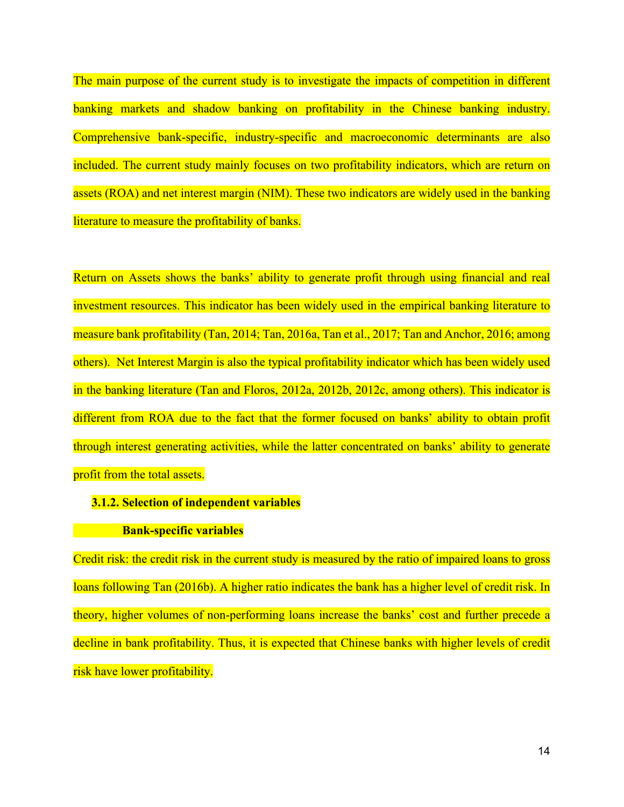The main purpose of the current study is to investigate the impacts of competition in different banking markets and shadow banking on profitability in the Chinese banking industry. Comprehensive bank-specific, industry-specific and macroeconomic determinants are also included. The current study mainly focuses on two profitability indicators, which are return on assets (ROA) and net interest margin (NIM). These two indicators are widely used in the banking literature to measure the profitability of banks.

Return on Assets shows the banks' ability to generate profit through using financial and real investment resources. This indicator has been widely used in the empirical banking literature to measure bank profitability (Tan, 2014; Tan, 2016a, Tan et al., 2017; Tan and Anchor, 2016; among others). Net Interest Margin is also the typical profitability indicator which has been widely used in the banking literature (Tan and Floros, 2012a, 2012b, 2012c, among others). This indicator is different from ROA due to the fact that the former focused on banks' ability to obtain profit through interest generating activities, while the latter concentrated on banks' ability to generate profit from the total assets.

#### **3.1.2. Selection of independent variables**

#### **Bank-specific variables**

Credit risk: the credit risk in the current study is measured by the ratio of impaired loans to gross loans following Tan (2016b). A higher ratio indicates the bank has a higher level of credit risk. In theory, higher volumes of non-performing loans increase the banks' cost and further precede a decline in bank profitability. Thus, it is expected that Chinese banks with higher levels of credit risk have lower profitability.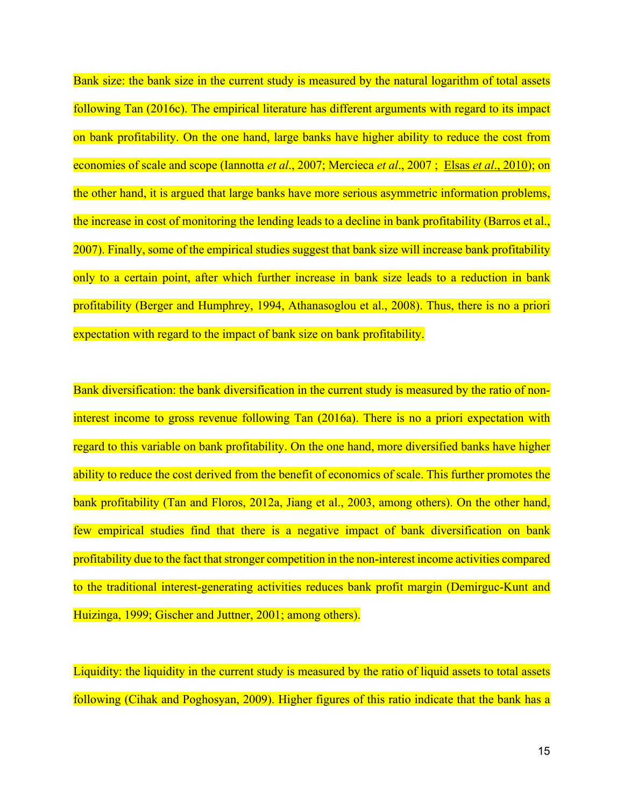Bank size: the bank size in the current study is measured by the natural logarithm of total assets following Tan (2016c). The empirical literature has different arguments with regard to its impact on bank profitability. On the one hand, large banks have higher ability to reduce the cost from economies of scale and scope [\(Iannotta](http://www.sciencedirect.com/science/article/pii/S1042443115001043#bib0265) *et al*., 2007; [Mercieca](http://www.sciencedirect.com/science/article/pii/S1042443115001043#bib0350) *et al*., 2007 ; Elsas *et al*[., 2010\)](http://www.sciencedirect.com/science/article/pii/S1042443115001043#bib0165); on the other hand, it is argued that large banks have more serious asymmetric information problems, the increase in cost of monitoring the lending leads to a decline in bank profitability (Barros et al., 2007). Finally, some of the empirical studies suggest that bank size will increase bank profitability only to a certain point, after which further increase in bank size leads to a reduction in bank profitability (Berger and Humphrey, 1994, Athanasoglou et al., 2008). Thus, there is no a priori expectation with regard to the impact of bank size on bank profitability.

Bank diversification: the bank diversification in the current study is measured by the ratio of noninterest income to gross revenue following Tan (2016a). There is no a priori expectation with regard to this variable on bank profitability. On the one hand, more diversified banks have higher ability to reduce the cost derived from the benefit of economics of scale. This further promotes the bank profitability (Tan and Floros, 2012a, Jiang et al., 2003, among others). On the other hand, few empirical studies find that there is a negative impact of bank diversification on bank profitability due to the fact that stronger competition in the non-interest income activities compared to the traditional interest-generating activities reduces bank profit margin (Demirguc-Kunt and Huizinga, 1999; Gischer and Juttner, 2001; among others).

Liquidity: the liquidity in the current study is measured by the ratio of liquid assets to total assets following (Cihak and Poghosyan, 2009). Higher figures of this ratio indicate that the bank has a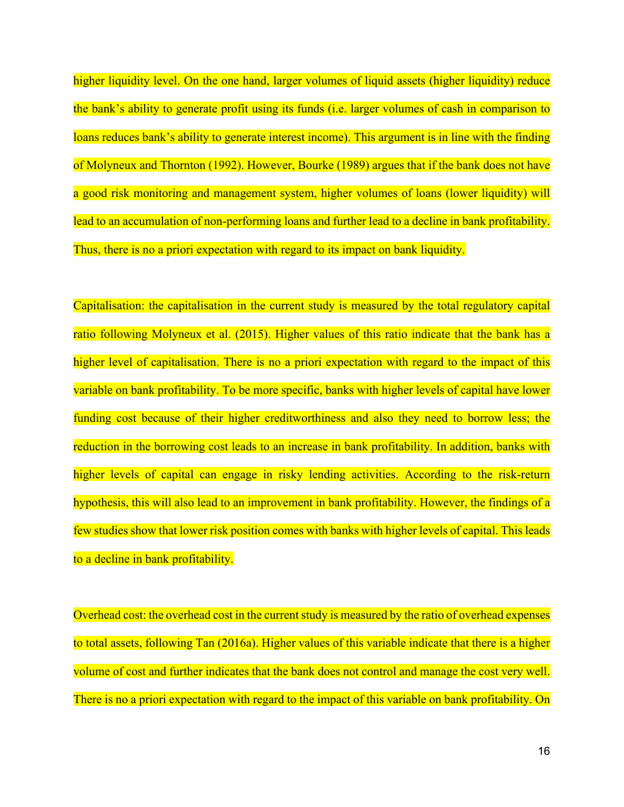higher liquidity level. On the one hand, larger volumes of liquid assets (higher liquidity) reduce the bank's ability to generate profit using its funds (i.e. larger volumes of cash in comparison to loans reduces bank's ability to generate interest income). This argument is in line with the finding of Molyneux and Thornton (1992). However, Bourke (1989) argues that if the bank does not have a good risk monitoring and management system, higher volumes of loans (lower liquidity) will lead to an accumulation of non-performing loans and further lead to a decline in bank profitability. Thus, there is no a priori expectation with regard to its impact on bank liquidity.

Capitalisation: the capitalisation in the current study is measured by the total regulatory capital ratio following Molyneux et al. (2015). Higher values of this ratio indicate that the bank has a higher level of capitalisation. There is no a priori expectation with regard to the impact of this variable on bank profitability. To be more specific, banks with higher levels of capital have lower funding cost because of their higher creditworthiness and also they need to borrow less; the reduction in the borrowing cost leads to an increase in bank profitability. In addition, banks with higher levels of capital can engage in risky lending activities. According to the risk-return hypothesis, this will also lead to an improvement in bank profitability. However, the findings of a few studies show that lower risk position comes with banks with higher levels of capital. This leads to a decline in bank profitability.

Overhead cost: the overhead cost in the current study is measured by the ratio of overhead expenses to total assets, following Tan (2016a). Higher values of this variable indicate that there is a higher volume of cost and further indicates that the bank does not control and manage the cost very well. There is no a priori expectation with regard to the impact of this variable on bank profitability. On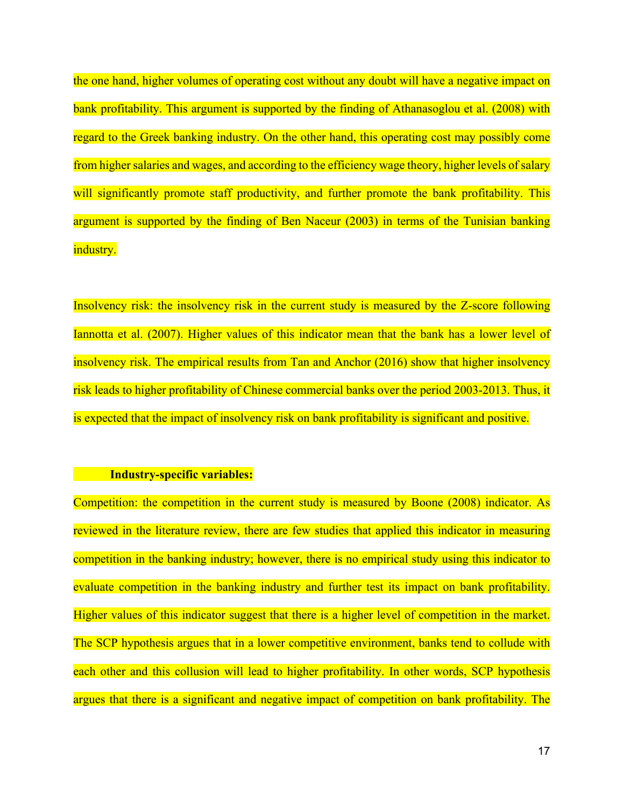the one hand, higher volumes of operating cost without any doubt will have a negative impact on bank profitability. This argument is supported by the finding of Athanasoglou et al. (2008) with regard to the Greek banking industry. On the other hand, this operating cost may possibly come from higher salaries and wages, and according to the efficiency wage theory, higher levels of salary will significantly promote staff productivity, and further promote the bank profitability. This argument is supported by the finding of Ben Naceur (2003) in terms of the Tunisian banking industry.

Insolvency risk: the insolvency risk in the current study is measured by the Z-score following Iannotta et al. (2007). Higher values of this indicator mean that the bank has a lower level of insolvency risk. The empirical results from Tan and Anchor (2016) show that higher insolvency risk leads to higher profitability of Chinese commercial banks over the period 2003-2013. Thus, it is expected that the impact of insolvency risk on bank profitability is significant and positive.

#### **Industry-specific variables:**

Competition: the competition in the current study is measured by Boone (2008) indicator. As reviewed in the literature review, there are few studies that applied this indicator in measuring competition in the banking industry; however, there is no empirical study using this indicator to evaluate competition in the banking industry and further test its impact on bank profitability. Higher values of this indicator suggest that there is a higher level of competition in the market. The SCP hypothesis argues that in a lower competitive environment, banks tend to collude with each other and this collusion will lead to higher profitability. In other words, SCP hypothesis argues that there is a significant and negative impact of competition on bank profitability. The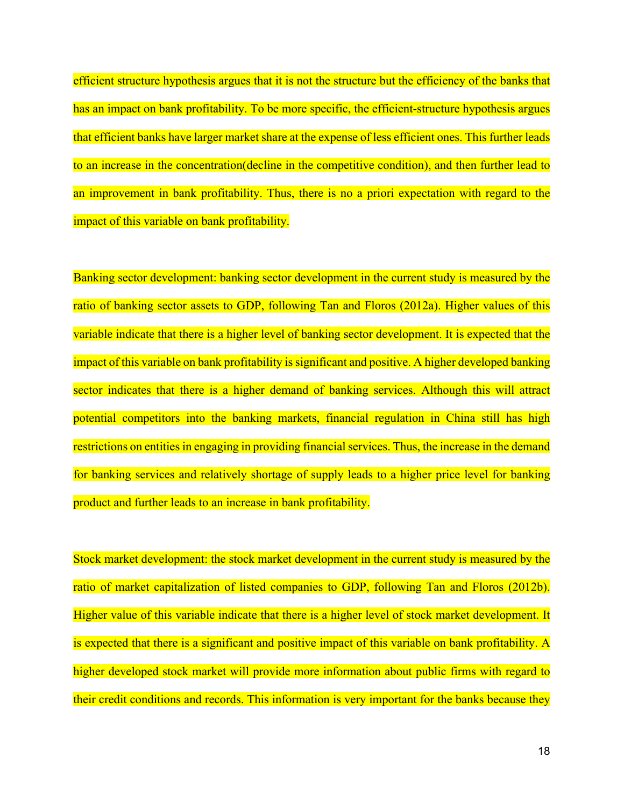efficient structure hypothesis argues that it is not the structure but the efficiency of the banks that has an impact on bank profitability. To be more specific, the efficient-structure hypothesis argues that efficient banks have larger market share at the expense of less efficient ones. This further leads to an increase in the concentration(decline in the competitive condition), and then further lead to an improvement in bank profitability. Thus, there is no a priori expectation with regard to the impact of this variable on bank profitability.

Banking sector development: banking sector development in the current study is measured by the ratio of banking sector assets to GDP, following Tan and Floros (2012a). Higher values of this variable indicate that there is a higher level of banking sector development. It is expected that the impact of this variable on bank profitability is significant and positive. A higher developed banking sector indicates that there is a higher demand of banking services. Although this will attract potential competitors into the banking markets, financial regulation in China still has high restrictions on entities in engaging in providing financial services. Thus, the increase in the demand for banking services and relatively shortage of supply leads to a higher price level for banking product and further leads to an increase in bank profitability.

Stock market development: the stock market development in the current study is measured by the ratio of market capitalization of listed companies to GDP, following Tan and Floros (2012b). Higher value of this variable indicate that there is a higher level of stock market development. It is expected that there is a significant and positive impact of this variable on bank profitability. A higher developed stock market will provide more information about public firms with regard to their credit conditions and records. This information is very important for the banks because they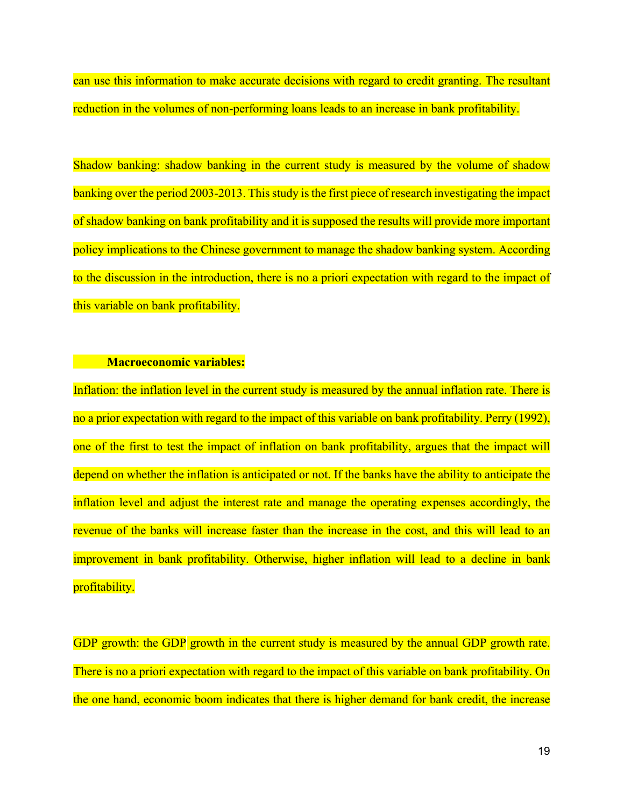can use this information to make accurate decisions with regard to credit granting. The resultant reduction in the volumes of non-performing loans leads to an increase in bank profitability.

Shadow banking: shadow banking in the current study is measured by the volume of shadow banking over the period 2003-2013. This study is the first piece of research investigating the impact of shadow banking on bank profitability and it is supposed the results will provide more important policy implications to the Chinese government to manage the shadow banking system. According to the discussion in the introduction, there is no a priori expectation with regard to the impact of this variable on bank profitability.

#### *Macroeconomic variables:*

Inflation: the inflation level in the current study is measured by the annual inflation rate. There is no a prior expectation with regard to the impact of this variable on bank profitability. Perry (1992), one of the first to test the impact of inflation on bank profitability, argues that the impact will depend on whether the inflation is anticipated or not. If the banks have the ability to anticipate the inflation level and adjust the interest rate and manage the operating expenses accordingly, the revenue of the banks will increase faster than the increase in the cost, and this will lead to an improvement in bank profitability. Otherwise, higher inflation will lead to a decline in bank profitability.

GDP growth: the GDP growth in the current study is measured by the annual GDP growth rate. There is no a priori expectation with regard to the impact of this variable on bank profitability. On the one hand, economic boom indicates that there is higher demand for bank credit, the increase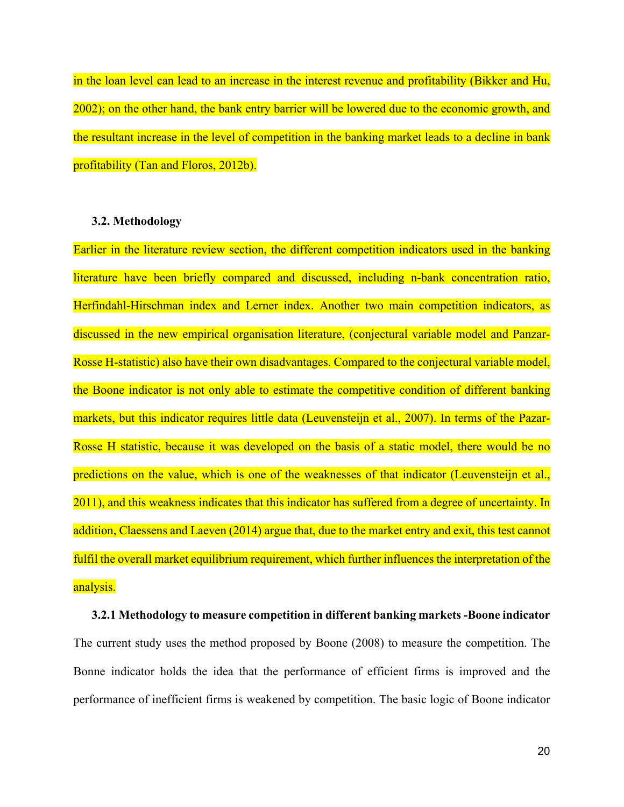in the loan level can lead to an increase in the interest revenue and profitability (Bikker and Hu, 2002); on the other hand, the bank entry barrier will be lowered due to the economic growth, and the resultant increase in the level of competition in the banking market leads to a decline in bank profitability (Tan and Floros, 2012b).

#### **3.2. Methodology**

Earlier in the literature review section, the different competition indicators used in the banking literature have been briefly compared and discussed, including n-bank concentration ratio, Herfindahl-Hirschman index and Lerner index. Another two main competition indicators, as discussed in the new empirical organisation literature, (conjectural variable model and Panzar-Rosse H-statistic) also have their own disadvantages. Compared to the conjectural variable model, the Boone indicator is not only able to estimate the competitive condition of different banking markets, but this indicator requires little data (Leuvensteijn et al., 2007). In terms of the Pazar-Rosse H statistic, because it was developed on the basis of a static model, there would be no predictions on the value, which is one of the weaknesses of that indicator (Leuvensteijn et al., 2011), and this weakness indicates that this indicator has suffered from a degree of uncertainty. In addition, Claessens and Laeven (2014) argue that, due to the market entry and exit, this test cannot fulfil the overall market equilibrium requirement, which further influences the interpretation of the analysis.

# **3.2.1 Methodology to measure competition in different banking markets -Boone indicator** The current study uses the method proposed by Boone (2008) to measure the competition. The Bonne indicator holds the idea that the performance of efficient firms is improved and the performance of inefficient firms is weakened by competition. The basic logic of Boone indicator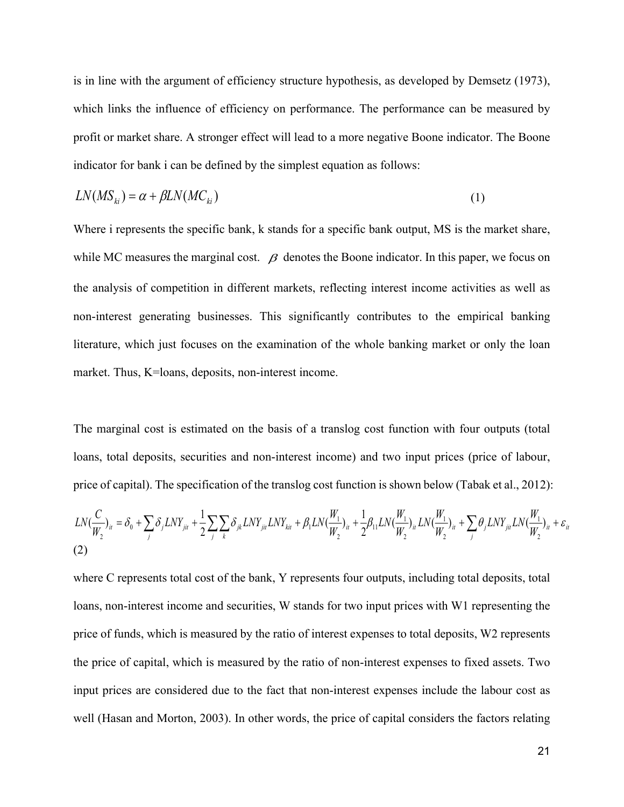is in line with the argument of efficiency structure hypothesis, as developed by Demsetz (1973), which links the influence of efficiency on performance. The performance can be measured by profit or market share. A stronger effect will lead to a more negative Boone indicator. The Boone indicator for bank i can be defined by the simplest equation as follows:

$$
LN(MS_{ki}) = \alpha + \beta LN(MC_{ki})
$$
\n<sup>(1)</sup>

Where i represents the specific bank, k stands for a specific bank output, MS is the market share, while MC measures the marginal cost.  $\beta$  denotes the Boone indicator. In this paper, we focus on the analysis of competition in different markets, reflecting interest income activities as well as non-interest generating businesses. This significantly contributes to the empirical banking literature, which just focuses on the examination of the whole banking market or only the loan market. Thus, K=loans, deposits, non-interest income.

The marginal cost is estimated on the basis of a translog cost function with four outputs (total loans, total deposits, securities and non-interest income) and two input prices (price of labour, price of capital). The specification of the translog cost function is shown below (Tabak et al., 2012):

$$
LN(\frac{C}{W_2})_{it} = \delta_0 + \sum_j \delta_j LNY_{jit} + \frac{1}{2} \sum_j \sum_k \delta_{jk} LNY_{jit} LNY_{kit} + \beta_1 LN(\frac{W_1}{W_2})_{it} + \frac{1}{2} \beta_{11} LN(\frac{W_1}{W_2})_{it} LN(\frac{W_1}{W_2})_{it} + \sum_j \theta_j LNY_{jit} LN(\frac{W_1}{W_2})_{it} + \varepsilon_{it}
$$
\n(2)

where C represents total cost of the bank, Y represents four outputs, including total deposits, total loans, non-interest income and securities, W stands for two input prices with W1 representing the price of funds, which is measured by the ratio of interest expenses to total deposits, W2 represents the price of capital, which is measured by the ratio of non-interest expenses to fixed assets. Two input prices are considered due to the fact that non-interest expenses include the labour cost as well (Hasan and Morton, 2003). In other words, the price of capital considers the factors relating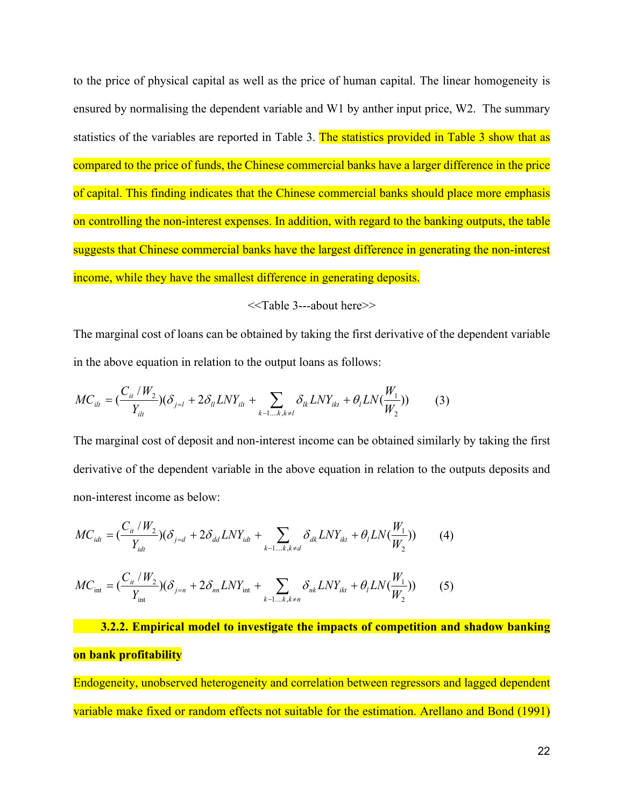to the price of physical capital as well as the price of human capital. The linear homogeneity is ensured by normalising the dependent variable and W1 by anther input price, W2. The summary statistics of the variables are reported in Table 3. The statistics provided in Table 3 show that as compared to the price of funds, the Chinese commercial banks have a larger difference in the price of capital. This finding indicates that the Chinese commercial banks should place more emphasis on controlling the non-interest expenses. In addition, with regard to the banking outputs, the table suggests that Chinese commercial banks have the largest difference in generating the non-interest income, while they have the smallest difference in generating deposits.

<<Table 3---about here>>

The marginal cost of loans can be obtained by taking the first derivative of the dependent variable in the above equation in relation to the output loans as follows:

$$
MC_{it} = \left(\frac{C_{it}/W_2}{Y_{it}}\right)(\delta_{j=l} + 2\delta_{ll} LNY_{it} + \sum_{k=1...k, k \neq l} \delta_{lk} LNY_{ikt} + \theta_l LN(\frac{W_1}{W_2})\right)
$$
(3)

The marginal cost of deposit and non-interest income can be obtained similarly by taking the first derivative of the dependent variable in the above equation in relation to the outputs deposits and non-interest income as below:

$$
MC_{idt} = \left(\frac{C_{it} / W_2}{Y_{idt}}\right)(\delta_{j=d} + 2\delta_{dd} LNY_{idt} + \sum_{k=1...k, k \neq d} \delta_{dk} LNY_{ikt} + \theta_l LN(\frac{W_1}{W_2})\right) \tag{4}
$$
  

$$
MC_{int} = \left(\frac{C_{it} / W_2}{Y_{int}}\right)(\delta_{j=n} + 2\delta_{nn} LNY_{int} + \sum_{k=1...k, k \neq n} \delta_{nk} LNY_{ikt} + \theta_l LN(\frac{W_1}{W_2})\right) \tag{5}
$$

 **3.2.2. Empirical model to investigate the impacts of competition and shadow banking on bank profitability**

Endogeneity, unobserved heterogeneity and correlation between regressors and lagged dependent variable make fixed or random effects not suitable for the estimation. Arellano and Bond (1991)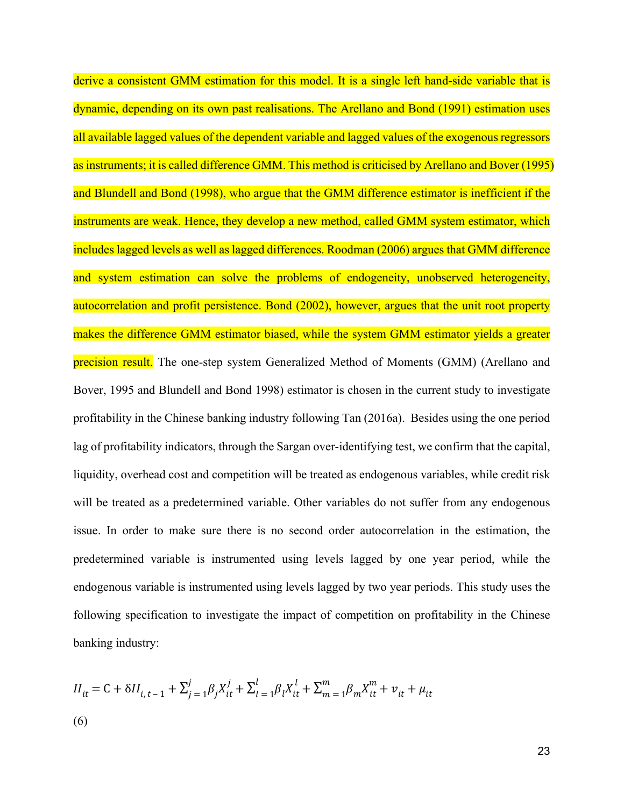derive a consistent GMM estimation for this model. It is a single left hand-side variable that is dynamic, depending on its own past realisations. The Arellano and Bond (1991) estimation uses all available lagged values of the dependent variable and lagged values of the exogenous regressors as instruments; it is called difference GMM. This method is criticised by Arellano and Bover (1995) and Blundell and Bond (1998), who argue that the GMM difference estimator is inefficient if the instruments are weak. Hence, they develop a new method, called GMM system estimator, which includes lagged levels as well as lagged differences. Roodman (2006) argues that GMM difference and system estimation can solve the problems of endogeneity, unobserved heterogeneity, autocorrelation and profit persistence. Bond (2002), however, argues that the unit root property makes the difference GMM estimator biased, while the system GMM estimator yields a greater precision result. The one-step system Generalized Method of Moments (GMM) (Arellano and Bover, 1995 and Blundell and Bond 1998) estimator is chosen in the current study to investigate profitability in the Chinese banking industry following Tan (2016a). Besides using the one period lag of profitability indicators, through the Sargan over-identifying test, we confirm that the capital, liquidity, overhead cost and competition will be treated as endogenous variables, while credit risk will be treated as a predetermined variable. Other variables do not suffer from any endogenous issue. In order to make sure there is no second order autocorrelation in the estimation, the predetermined variable is instrumented using levels lagged by one year period, while the endogenous variable is instrumented using levels lagged by two year periods. This study uses the following specification to investigate the impact of competition on profitability in the Chinese banking industry:

$$
II_{it} = C + \delta II_{i, t-1} + \sum_{j=1}^{j} \beta_j X_{it}^j + \sum_{l=1}^{l} \beta_l X_{it}^l + \sum_{m=1}^{m} \beta_m X_{it}^m + v_{it} + \mu_{it}
$$
  
(6)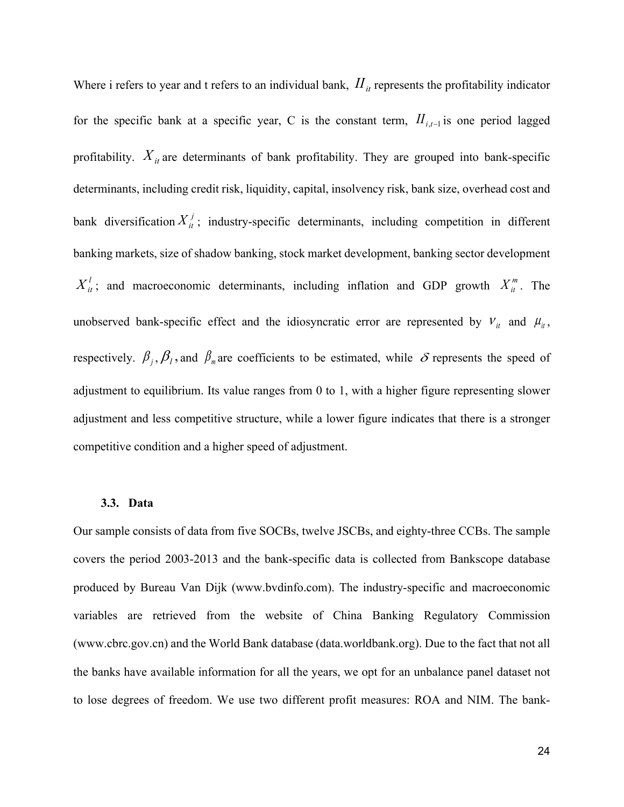Where i refers to year and t refers to an individual bank,  $I\!I_{it}$  represents the profitability indicator for the specific bank at a specific year, C is the constant term,  $I_{i,t-1}$  is one period lagged profitability.  $X_{it}$  are determinants of bank profitability. They are grouped into bank-specific determinants, including credit risk, liquidity, capital, insolvency risk, bank size, overhead cost and bank diversification  $X_i^j$ ; industry-specific determinants, including competition in different banking markets, size of shadow banking, stock market development, banking sector development  $X_{it}^{l}$ ; and macroeconomic determinants, including inflation and GDP growth  $X_{it}^{m}$ . The unobserved bank-specific effect and the idiosyncratic error are represented by  $V_{it}$  and  $\mu_{it}$ , respectively.  $\beta_j$ ,  $\beta_l$ , and  $\beta_m$  are coefficients to be estimated, while  $\delta$  represents the speed of adjustment to equilibrium. Its value ranges from 0 to 1, with a higher figure representing slower adjustment and less competitive structure, while a lower figure indicates that there is a stronger competitive condition and a higher speed of adjustment.

#### **3.3. Data**

Our sample consists of data from five SOCBs, twelve JSCBs, and eighty-three CCBs. The sample covers the period 2003-2013 and the bank-specific data is collected from Bankscope database produced by Bureau Van Dijk (www.bvdinfo.com). The industry-specific and macroeconomic variables are retrieved from the website of China Banking Regulatory Commission (www.cbrc.gov.cn) and the World Bank database (data.worldbank.org). Due to the fact that not all the banks have available information for all the years, we opt for an unbalance panel dataset not to lose degrees of freedom. We use two different profit measures: ROA and NIM. The bank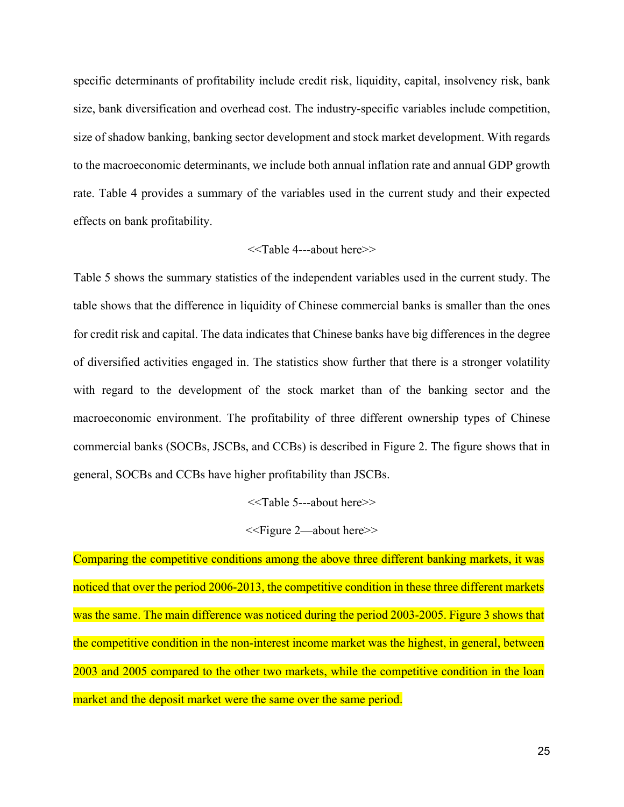specific determinants of profitability include credit risk, liquidity, capital, insolvency risk, bank size, bank diversification and overhead cost. The industry-specific variables include competition, size of shadow banking, banking sector development and stock market development. With regards to the macroeconomic determinants, we include both annual inflation rate and annual GDP growth rate. Table 4 provides a summary of the variables used in the current study and their expected effects on bank profitability.

#### <<Table 4---about here>>

Table 5 shows the summary statistics of the independent variables used in the current study. The table shows that the difference in liquidity of Chinese commercial banks is smaller than the ones for credit risk and capital. The data indicates that Chinese banks have big differences in the degree of diversified activities engaged in. The statistics show further that there is a stronger volatility with regard to the development of the stock market than of the banking sector and the macroeconomic environment. The profitability of three different ownership types of Chinese commercial banks (SOCBs, JSCBs, and CCBs) is described in Figure 2. The figure shows that in general, SOCBs and CCBs have higher profitability than JSCBs.

#### <<Table 5---about here>>

#### <<Figure 2—about here>>

Comparing the competitive conditions among the above three different banking markets, it was noticed that over the period 2006-2013, the competitive condition in these three different markets was the same. The main difference was noticed during the period 2003-2005. Figure 3 shows that the competitive condition in the non-interest income market was the highest, in general, between 2003 and 2005 compared to the other two markets, while the competitive condition in the loan market and the deposit market were the same over the same period.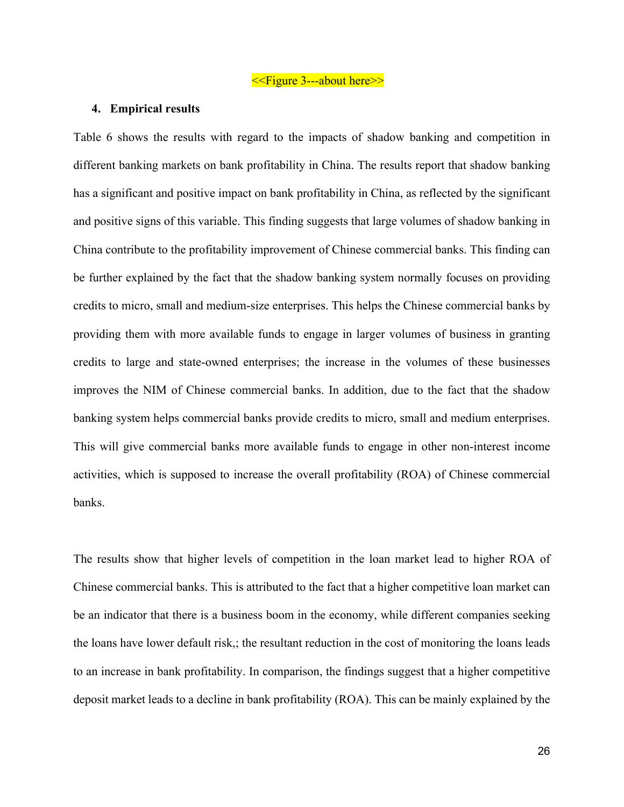<<Figure 3---about here>>

#### **4. Empirical results**

Table 6 shows the results with regard to the impacts of shadow banking and competition in different banking markets on bank profitability in China. The results report that shadow banking has a significant and positive impact on bank profitability in China, as reflected by the significant and positive signs of this variable. This finding suggests that large volumes of shadow banking in China contribute to the profitability improvement of Chinese commercial banks. This finding can be further explained by the fact that the shadow banking system normally focuses on providing credits to micro, small and medium-size enterprises. This helps the Chinese commercial banks by providing them with more available funds to engage in larger volumes of business in granting credits to large and state-owned enterprises; the increase in the volumes of these businesses improves the NIM of Chinese commercial banks. In addition, due to the fact that the shadow banking system helps commercial banks provide credits to micro, small and medium enterprises. This will give commercial banks more available funds to engage in other non-interest income activities, which is supposed to increase the overall profitability (ROA) of Chinese commercial banks.

The results show that higher levels of competition in the loan market lead to higher ROA of Chinese commercial banks. This is attributed to the fact that a higher competitive loan market can be an indicator that there is a business boom in the economy, while different companies seeking the loans have lower default risk,; the resultant reduction in the cost of monitoring the loans leads to an increase in bank profitability. In comparison, the findings suggest that a higher competitive deposit market leads to a decline in bank profitability (ROA). This can be mainly explained by the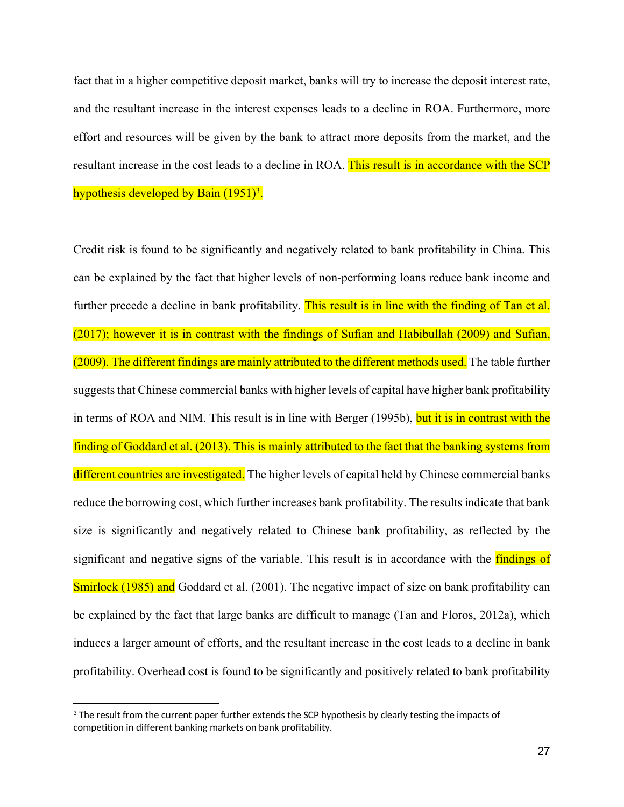fact that in a higher competitive deposit market, banks will try to increase the deposit interest rate, and the resultant increase in the interest expenses leads to a decline in ROA. Furthermore, more effort and resources will be given by the bank to attract more deposits from the market, and the resultant increase in the cost leads to a decline in ROA. This result is in accordance with the SCP hypothesis developed by Bain (1951)<sup>3</sup>.

Credit risk is found to be significantly and negatively related to bank profitability in China. This can be explained by the fact that higher levels of non-performing loans reduce bank income and further precede a decline in bank profitability. This result is in line with the finding of Tan et al. (2017); however it is in contrast with the findings of Sufian and Habibullah (2009) and Sufian, (2009). The different findings are mainly attributed to the different methods used. The table further suggests that Chinese commercial banks with higher levels of capital have higher bank profitability in terms of ROA and NIM. This result is in line with Berger (1995b), but it is in contrast with the finding of Goddard et al. (2013). This is mainly attributed to the fact that the banking systems from different countries are investigated. The higher levels of capital held by Chinese commercial banks reduce the borrowing cost, which further increases bank profitability. The results indicate that bank size is significantly and negatively related to Chinese bank profitability, as reflected by the significant and negative signs of the variable. This result is in accordance with the **findings of** Smirlock (1985) and Goddard et al. (2001). The negative impact of size on bank profitability can be explained by the fact that large banks are difficult to manage (Tan and Floros, 2012a), which induces a larger amount of efforts, and the resultant increase in the cost leads to a decline in bank profitability. Overhead cost is found to be significantly and positively related to bank profitability

 $^3$  The result from the current paper further extends the SCP hypothesis by clearly testing the impacts of competition in different banking markets on bank profitability.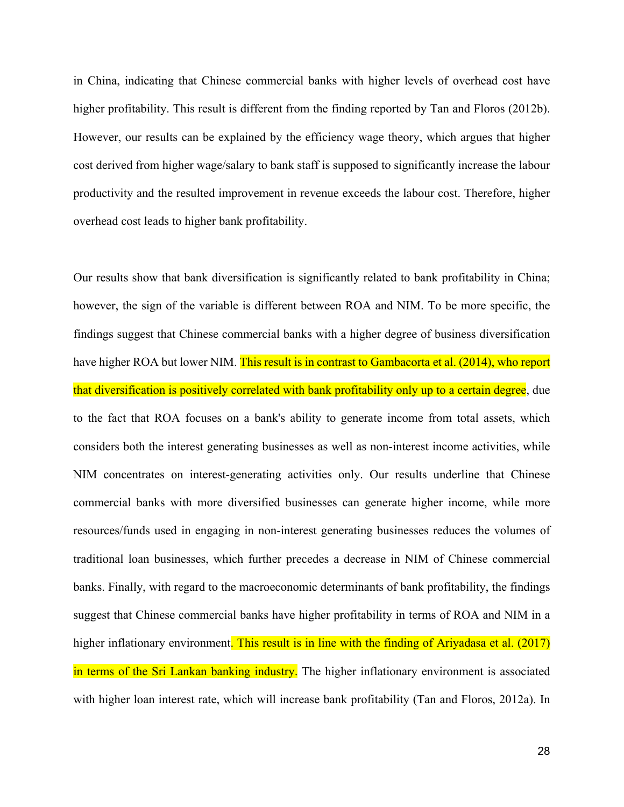in China, indicating that Chinese commercial banks with higher levels of overhead cost have higher profitability. This result is different from the finding reported by Tan and Floros (2012b). However, our results can be explained by the efficiency wage theory, which argues that higher cost derived from higher wage/salary to bank staff is supposed to significantly increase the labour productivity and the resulted improvement in revenue exceeds the labour cost. Therefore, higher overhead cost leads to higher bank profitability.

Our results show that bank diversification is significantly related to bank profitability in China; however, the sign of the variable is different between ROA and NIM. To be more specific, the findings suggest that Chinese commercial banks with a higher degree of business diversification have higher ROA but lower NIM. This result is in contrast to Gambacorta et al. (2014), who report that diversification is positively correlated with bank profitability only up to a certain degree, due to the fact that ROA focuses on a bank's ability to generate income from total assets, which considers both the interest generating businesses as well as non-interest income activities, while NIM concentrates on interest-generating activities only. Our results underline that Chinese commercial banks with more diversified businesses can generate higher income, while more resources/funds used in engaging in non-interest generating businesses reduces the volumes of traditional loan businesses, which further precedes a decrease in NIM of Chinese commercial banks. Finally, with regard to the macroeconomic determinants of bank profitability, the findings suggest that Chinese commercial banks have higher profitability in terms of ROA and NIM in a higher inflationary environment. This result is in line with the finding of Ariyadasa et al. (2017) in terms of the Sri Lankan banking industry. The higher inflationary environment is associated with higher loan interest rate, which will increase bank profitability (Tan and Floros, 2012a). In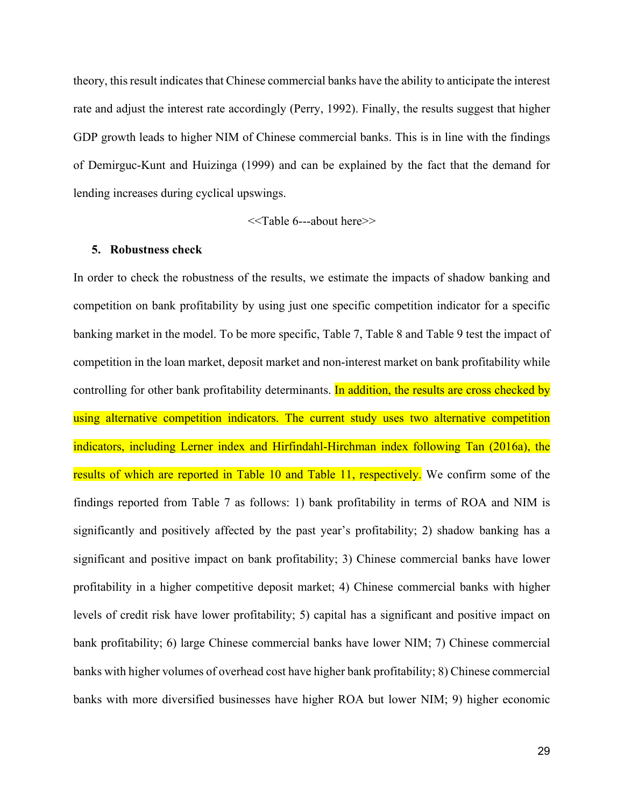theory, this result indicates that Chinese commercial banks have the ability to anticipate the interest rate and adjust the interest rate accordingly (Perry, 1992). Finally, the results suggest that higher GDP growth leads to higher NIM of Chinese commercial banks. This is in line with the findings of Demirguc-Kunt and Huizinga (1999) and can be explained by the fact that the demand for lending increases during cyclical upswings.

<<Table 6---about here>>

#### **5. Robustness check**

In order to check the robustness of the results, we estimate the impacts of shadow banking and competition on bank profitability by using just one specific competition indicator for a specific banking market in the model. To be more specific, Table 7, Table 8 and Table 9 test the impact of competition in the loan market, deposit market and non-interest market on bank profitability while controlling for other bank profitability determinants. In addition, the results are cross checked by using alternative competition indicators. The current study uses two alternative competition indicators, including Lerner index and Hirfindahl-Hirchman index following Tan (2016a), the results of which are reported in Table 10 and Table 11, respectively. We confirm some of the findings reported from Table 7 as follows: 1) bank profitability in terms of ROA and NIM is significantly and positively affected by the past year's profitability; 2) shadow banking has a significant and positive impact on bank profitability; 3) Chinese commercial banks have lower profitability in a higher competitive deposit market; 4) Chinese commercial banks with higher levels of credit risk have lower profitability; 5) capital has a significant and positive impact on bank profitability; 6) large Chinese commercial banks have lower NIM; 7) Chinese commercial banks with higher volumes of overhead cost have higher bank profitability; 8) Chinese commercial banks with more diversified businesses have higher ROA but lower NIM; 9) higher economic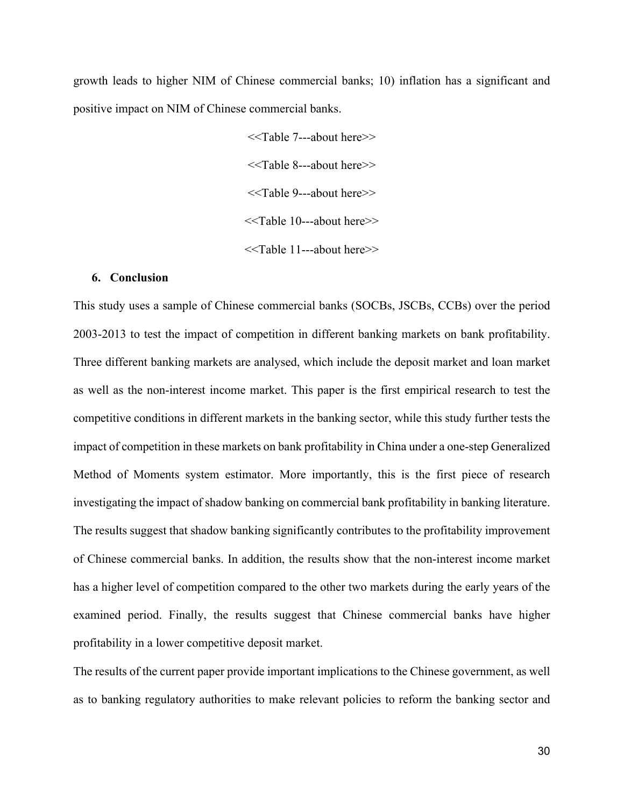growth leads to higher NIM of Chinese commercial banks; 10) inflation has a significant and positive impact on NIM of Chinese commercial banks.

> <<Table 7---about here>> <<Table 8---about here>> <<Table 9---about here>> <<Table 10---about here>> <<Table 11---about here>>

#### **6. Conclusion**

This study uses a sample of Chinese commercial banks (SOCBs, JSCBs, CCBs) over the period 2003-2013 to test the impact of competition in different banking markets on bank profitability. Three different banking markets are analysed, which include the deposit market and loan market as well as the non-interest income market. This paper is the first empirical research to test the competitive conditions in different markets in the banking sector, while this study further tests the impact of competition in these markets on bank profitability in China under a one-step Generalized Method of Moments system estimator. More importantly, this is the first piece of research investigating the impact of shadow banking on commercial bank profitability in banking literature. The results suggest that shadow banking significantly contributes to the profitability improvement of Chinese commercial banks. In addition, the results show that the non-interest income market has a higher level of competition compared to the other two markets during the early years of the examined period. Finally, the results suggest that Chinese commercial banks have higher profitability in a lower competitive deposit market.

The results of the current paper provide important implications to the Chinese government, as well as to banking regulatory authorities to make relevant policies to reform the banking sector and

30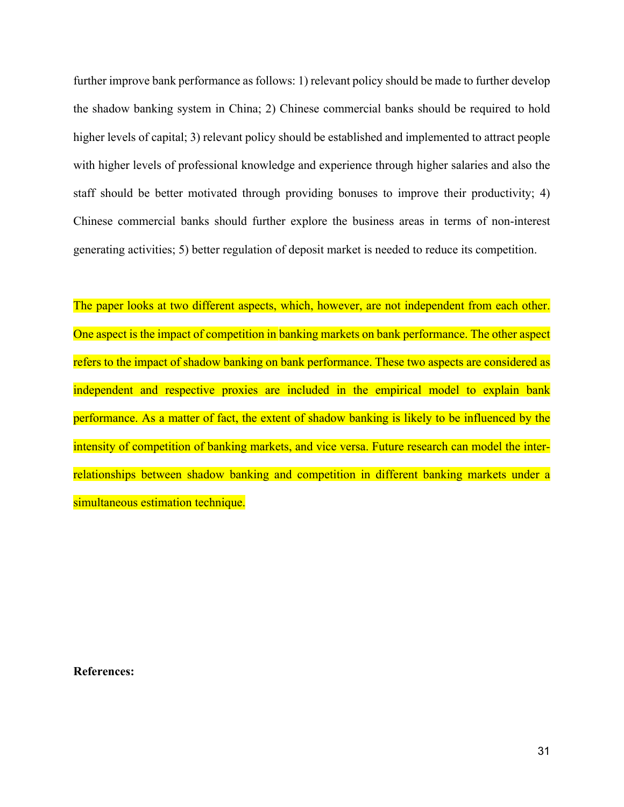further improve bank performance as follows: 1) relevant policy should be made to further develop the shadow banking system in China; 2) Chinese commercial banks should be required to hold higher levels of capital; 3) relevant policy should be established and implemented to attract people with higher levels of professional knowledge and experience through higher salaries and also the staff should be better motivated through providing bonuses to improve their productivity; 4) Chinese commercial banks should further explore the business areas in terms of non-interest generating activities; 5) better regulation of deposit market is needed to reduce its competition.

The paper looks at two different aspects, which, however, are not independent from each other. One aspect is the impact of competition in banking markets on bank performance. The other aspect refers to the impact of shadow banking on bank performance. These two aspects are considered as independent and respective proxies are included in the empirical model to explain bank performance. As a matter of fact, the extent of shadow banking is likely to be influenced by the intensity of competition of banking markets, and vice versa. Future research can model the interrelationships between shadow banking and competition in different banking markets under a simultaneous estimation technique.

**References:**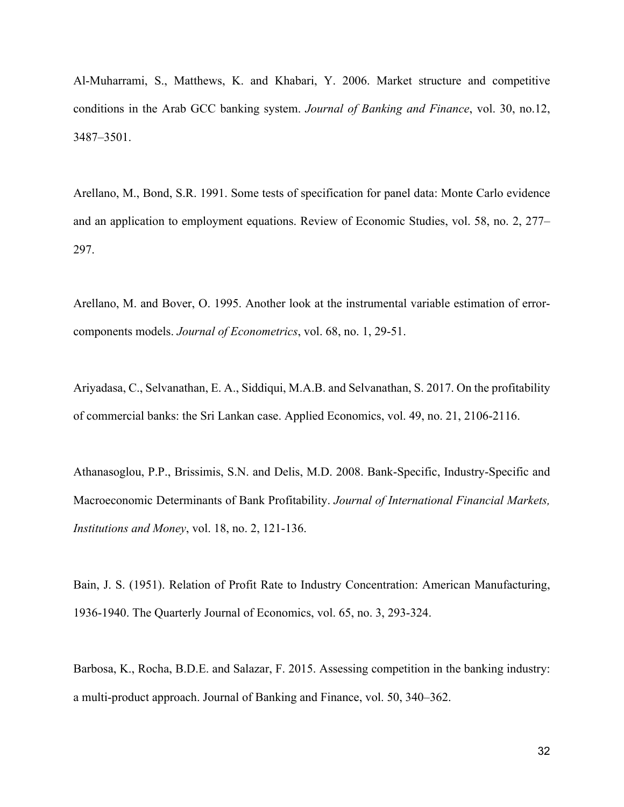Al-Muharrami, S., Matthews, K. and Khabari, Y. 2006. Market structure and competitive conditions in the Arab GCC banking system. *Journal of Banking and Finance*, vol. 30, no.12, 3487–3501.

Arellano, M., Bond, S.R. 1991. Some tests of specification for panel data: Monte Carlo evidence and an application to employment equations. Review of Economic Studies, vol. 58, no. 2, 277– 297.

Arellano, M. and Bover, O. 1995. Another look at the instrumental variable estimation of errorcomponents models. *Journal of Econometrics*, vol. 68, no. 1, 29-51.

Ariyadasa, C., Selvanathan, E. A., Siddiqui, M.A.B. and Selvanathan, S. 2017. On the profitability of commercial banks: the Sri Lankan case. Applied Economics, vol. 49, no. 21, 2106-2116.

Athanasoglou, P.P., Brissimis, S.N. and Delis, M.D. 2008. Bank-Specific, Industry-Specific and Macroeconomic Determinants of Bank Profitability. *Journal of International Financial Markets, Institutions and Money*, vol. 18, no. 2, 121-136.

Bain, J. S. (1951). Relation of Profit Rate to Industry Concentration: American Manufacturing, 1936-1940. The Quarterly Journal of Economics, vol. 65, no. 3, 293-324.

Barbosa, K., Rocha, B.D.E. and Salazar, F. 2015. Assessing competition in the banking industry: a multi-product approach. Journal of Banking and Finance, vol. 50, 340–362.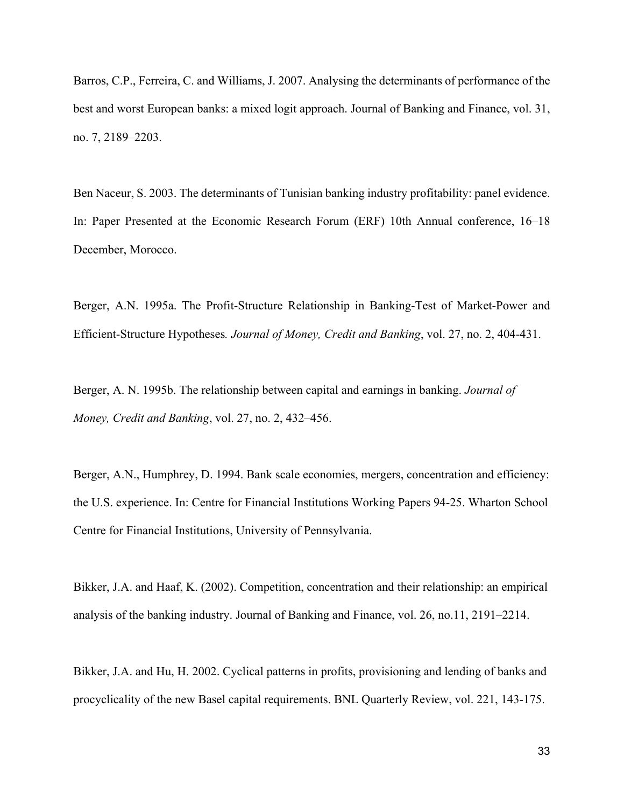Barros, C.P., Ferreira, C. and Williams, J. 2007. Analysing the determinants of performance of the best and worst European banks: a mixed logit approach. Journal of Banking and Finance, vol. 31, no. 7, 2189–2203.

Ben Naceur, S. 2003. The determinants of Tunisian banking industry profitability: panel evidence. In: Paper Presented at the Economic Research Forum (ERF) 10th Annual conference, 16–18 December, Morocco.

Berger, A.N. 1995a. The Profit-Structure Relationship in Banking-Test of Market-Power and Efficient-Structure Hypotheses*. Journal of Money, Credit and Banking*, vol. 27, no. 2, 404-431.

Berger, A. N. 1995b. The relationship between capital and earnings in banking. *Journal of Money, Credit and Banking*, vol. 27, no. 2, 432–456.

Berger, A.N., Humphrey, D. 1994. Bank scale economies, mergers, concentration and efficiency: the U.S. experience. In: Centre for Financial Institutions Working Papers 94-25. Wharton School Centre for Financial Institutions, University of Pennsylvania.

Bikker, J.A. and Haaf, K. (2002). Competition, concentration and their relationship: an empirical analysis of the banking industry. Journal of Banking and Finance, vol. 26, no.11, 2191–2214.

Bikker, J.A. and Hu, H. 2002. Cyclical patterns in profits, provisioning and lending of banks and procyclicality of the new Basel capital requirements. BNL Quarterly Review, vol. 221, 143-175.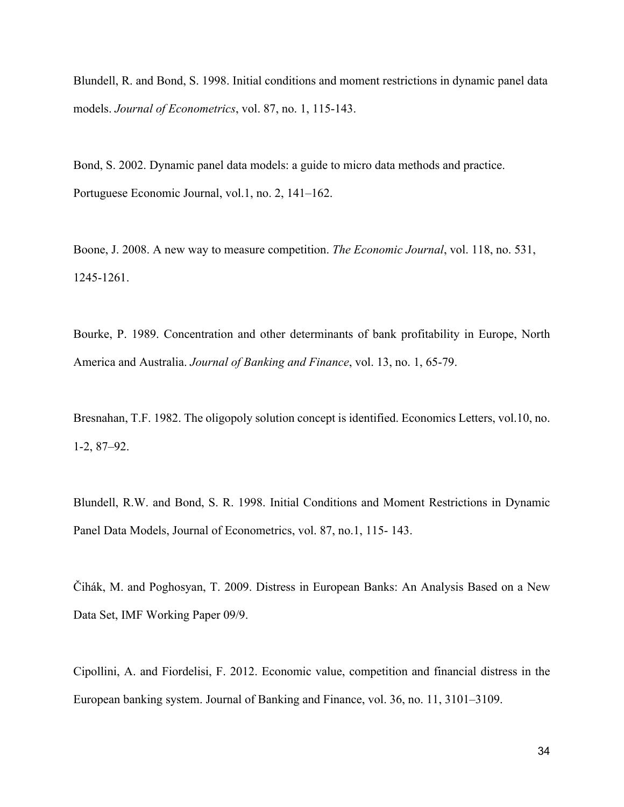Blundell, R. and Bond, S. 1998. Initial conditions and moment restrictions in dynamic panel data models. *Journal of Econometrics*, vol. 87, no. 1, 115-143.

Bond, S. 2002. Dynamic panel data models: a guide to micro data methods and practice. Portuguese Economic Journal, vol.1, no. 2, 141–162.

Boone, J. 2008. A new way to measure competition. *The Economic Journal*, vol. 118, no. 531, 1245-1261.

Bourke, P. 1989. Concentration and other determinants of bank profitability in Europe, North America and Australia. *Journal of Banking and Finance*, vol. 13, no. 1, 65-79.

Bresnahan, T.F. 1982. The oligopoly solution concept is identified. Economics Letters, vol.10, no. 1-2, 87–92.

Blundell, R.W. and Bond, S. R. 1998. Initial Conditions and Moment Restrictions in Dynamic Panel Data Models, Journal of Econometrics, vol. 87, no.1, 115- 143.

Čihák, M. and Poghosyan, T. 2009. Distress in European Banks: An Analysis Based on a New Data Set, IMF Working Paper 09/9.

Cipollini, A. and Fiordelisi, F. 2012. Economic value, competition and financial distress in the European banking system. Journal of Banking and Finance, vol. 36, no. 11, 3101–3109.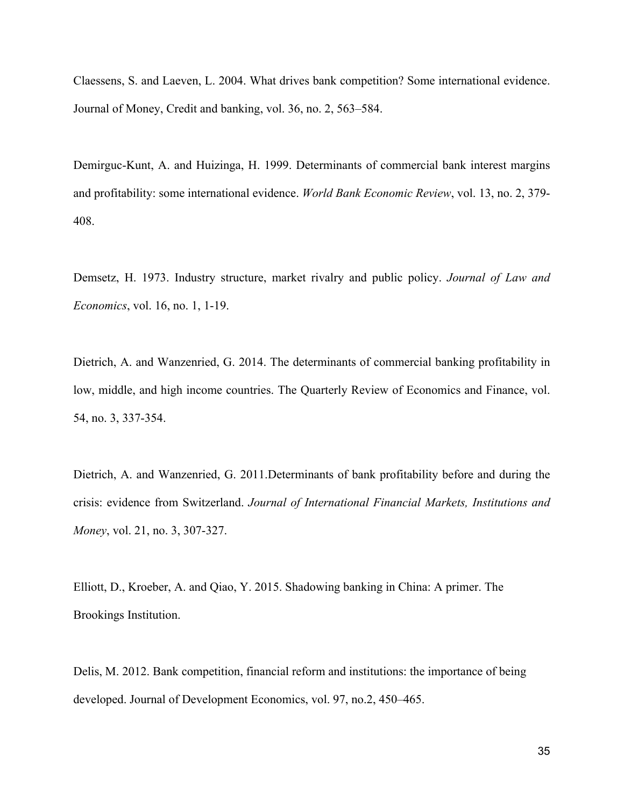Claessens, S. and Laeven, L. 2004. What drives bank competition? Some international evidence. Journal of Money, Credit and banking, vol. 36, no. 2, 563–584.

Demirguc-Kunt, A. and Huizinga, H. 1999. Determinants of commercial bank interest margins and profitability: some international evidence. *World Bank Economic Review*, vol. 13, no. 2, 379- 408.

Demsetz, H. 1973. Industry structure, market rivalry and public policy. *Journal of Law and Economics*, vol. 16, no. 1, 1-19.

Dietrich, A. and Wanzenried, G. 2014. The determinants of commercial banking profitability in low, middle, and high income countries. The Quarterly Review of Economics and Finance, vol. 54, no. 3, 337-354.

Dietrich, A. and Wanzenried, G. 2011.Determinants of bank profitability before and during the crisis: evidence from Switzerland. *Journal of International Financial Markets, Institutions and Money*, vol. 21, no. 3, 307-327.

Elliott, D., Kroeber, A. and Qiao, Y. 2015. Shadowing banking in China: A primer. The Brookings Institution.

Delis, M. 2012. Bank competition, financial reform and institutions: the importance of being developed. Journal of Development Economics, vol. 97, no.2, 450–465.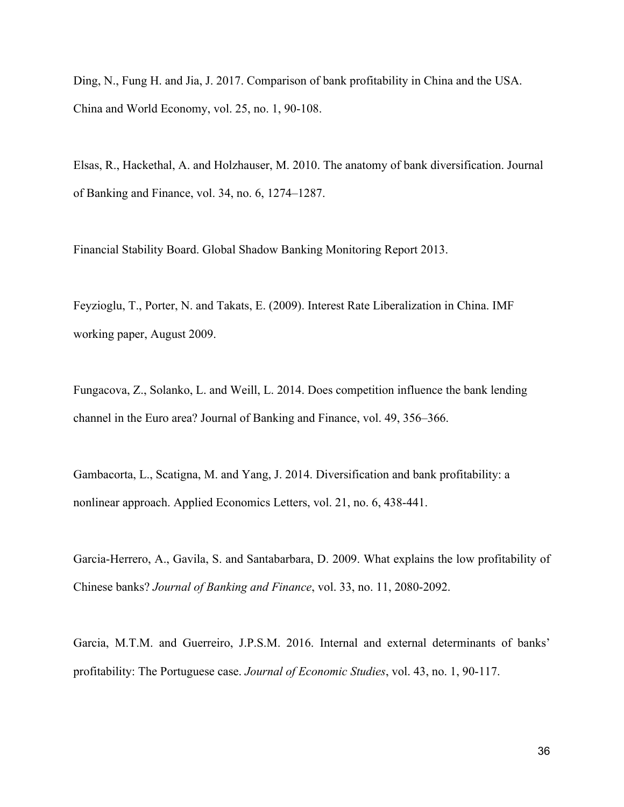Ding, N., Fung H. and Jia, J. 2017. Comparison of bank profitability in China and the USA. China and World Economy, vol. 25, no. 1, 90-108.

Elsas, R., Hackethal, A. and Holzhauser, M. 2010. The anatomy of bank diversification. Journal of Banking and Finance, vol. 34, no. 6, 1274–1287.

Financial Stability Board. Global Shadow Banking Monitoring Report 2013.

Feyzioglu, T., Porter, N. and Takats, E. (2009). Interest Rate Liberalization in China. IMF working paper, August 2009.

Fungacova, Z., Solanko, L. and Weill, L. 2014. Does competition influence the bank lending channel in the Euro area? Journal of Banking and Finance, vol. 49, 356–366.

Gambacorta, L., Scatigna, M. and Yang, J. 2014. Diversification and bank profitability: a nonlinear approach. Applied Economics Letters, vol. 21, no. 6, 438-441.

Garcia-Herrero, A., Gavila, S. and Santabarbara, D. 2009. What explains the low profitability of Chinese banks? *Journal of Banking and Finance*, vol. 33, no. 11, 2080-2092.

Garcia, M.T.M. and Guerreiro, J.P.S.M. 2016. Internal and external determinants of banks' profitability: The Portuguese case. *Journal of Economic Studies*, vol. 43, no. 1, 90-117.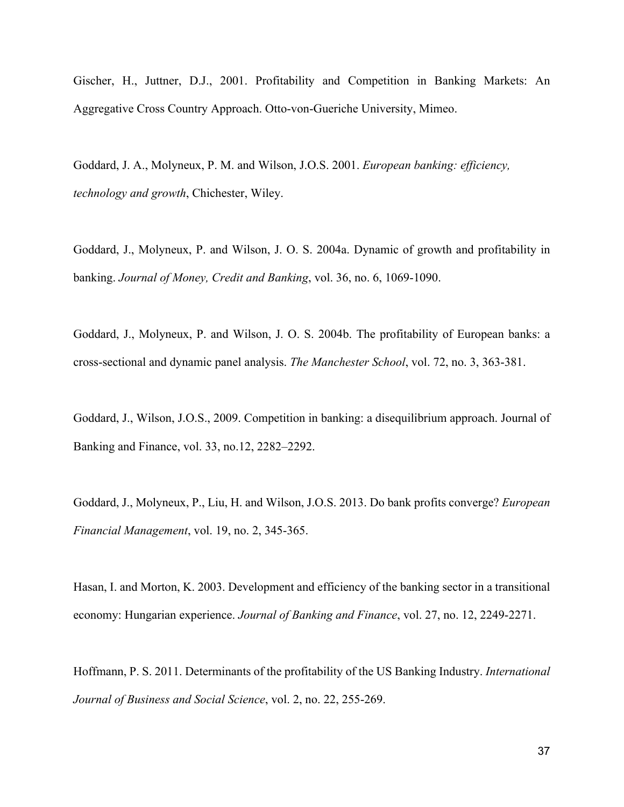Gischer, H., Juttner, D.J., 2001. Profitability and Competition in Banking Markets: An Aggregative Cross Country Approach. Otto-von-Gueriche University, Mimeo.

Goddard, J. A., Molyneux, P. M. and Wilson, J.O.S. 2001. *European banking: efficiency, technology and growth*, Chichester, Wiley.

Goddard, J., Molyneux, P. and Wilson, J. O. S. 2004a. Dynamic of growth and profitability in banking. *Journal of Money, Credit and Banking*, vol. 36, no. 6, 1069-1090.

Goddard, J., Molyneux, P. and Wilson, J. O. S. 2004b. The profitability of European banks: a cross-sectional and dynamic panel analysis. *The Manchester School*, vol. 72, no. 3, 363-381.

Goddard, J., Wilson, J.O.S., 2009. Competition in banking: a disequilibrium approach. Journal of Banking and Finance, vol. 33, no.12, 2282–2292.

Goddard, J., Molyneux, P., Liu, H. and Wilson, J.O.S. 2013. Do bank profits converge? *European Financial Management*, vol. 19, no. 2, 345-365.

Hasan, I. and Morton, K. 2003. Development and efficiency of the banking sector in a transitional economy: Hungarian experience. *Journal of Banking and Finance*, vol. 27, no. 12, 2249-2271.

Hoffmann, P. S. 2011. Determinants of the profitability of the US Banking Industry. *International Journal of Business and Social Science*, vol. 2, no. 22, 255-269.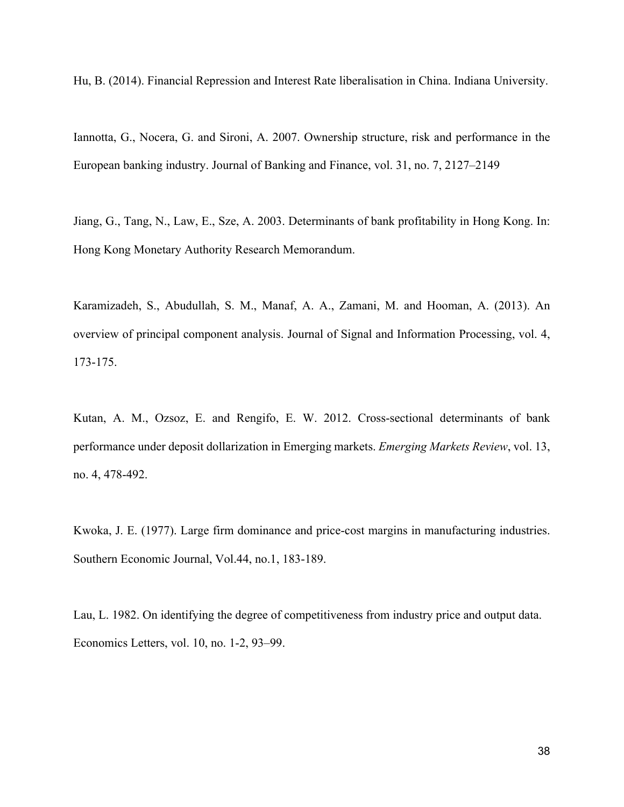Hu, B. (2014). Financial Repression and Interest Rate liberalisation in China. Indiana University.

Iannotta, G., Nocera, G. and Sironi, A. 2007. Ownership structure, risk and performance in the European banking industry. Journal of Banking and Finance, vol. 31, no. 7, 2127–2149

Jiang, G., Tang, N., Law, E., Sze, A. 2003. Determinants of bank profitability in Hong Kong. In: Hong Kong Monetary Authority Research Memorandum.

Karamizadeh, S., Abudullah, S. M., Manaf, A. A., Zamani, M. and Hooman, A. (2013). An overview of principal component analysis. Journal of Signal and Information Processing, vol. 4, 173-175.

Kutan, A. M., Ozsoz, E. and Rengifo, E. W. 2012. Cross-sectional determinants of bank performance under deposit dollarization in Emerging markets. *Emerging Markets Review*, vol. 13, no. 4, 478-492.

Kwoka, J. E. (1977). Large firm dominance and price-cost margins in manufacturing industries. Southern Economic Journal, Vol.44, no.1, 183-189.

Lau, L. 1982. On identifying the degree of competitiveness from industry price and output data. Economics Letters, vol. 10, no. 1-2, 93–99.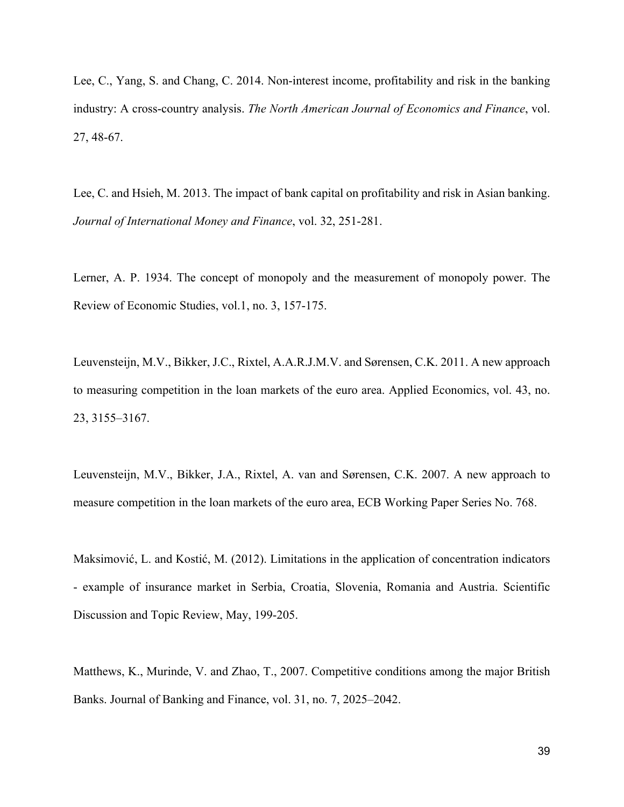Lee, C., Yang, S. and Chang, C. 2014. Non-interest income, profitability and risk in the banking industry: A cross-country analysis. *The North American Journal of Economics and Finance*, vol. 27, 48-67.

Lee, C. and Hsieh, M. 2013. The impact of bank capital on profitability and risk in Asian banking. *Journal of International Money and Finance*, vol. 32, 251-281.

Lerner, A. P. 1934. The concept of monopoly and the measurement of monopoly power. The Review of Economic Studies, vol.1, no. 3, 157-175.

Leuvensteijn, M.V., Bikker, J.C., Rixtel, A.A.R.J.M.V. and Sørensen, C.K. 2011. A new approach to measuring competition in the loan markets of the euro area. Applied Economics, vol. 43, no. 23, 3155–3167.

Leuvensteijn, M.V., Bikker, J.A., Rixtel, A. van and Sørensen, C.K. 2007. A new approach to measure competition in the loan markets of the euro area, ECB Working Paper Series No. 768.

Maksimović, L. and Kostić, M. (2012). Limitations in the application of concentration indicators - example of insurance market in Serbia, Croatia, Slovenia, Romania and Austria. Scientific Discussion and Topic Review, May, 199-205.

Matthews, K., Murinde, V. and Zhao, T., 2007. Competitive conditions among the major British Banks. Journal of Banking and Finance, vol. 31, no. 7, 2025–2042.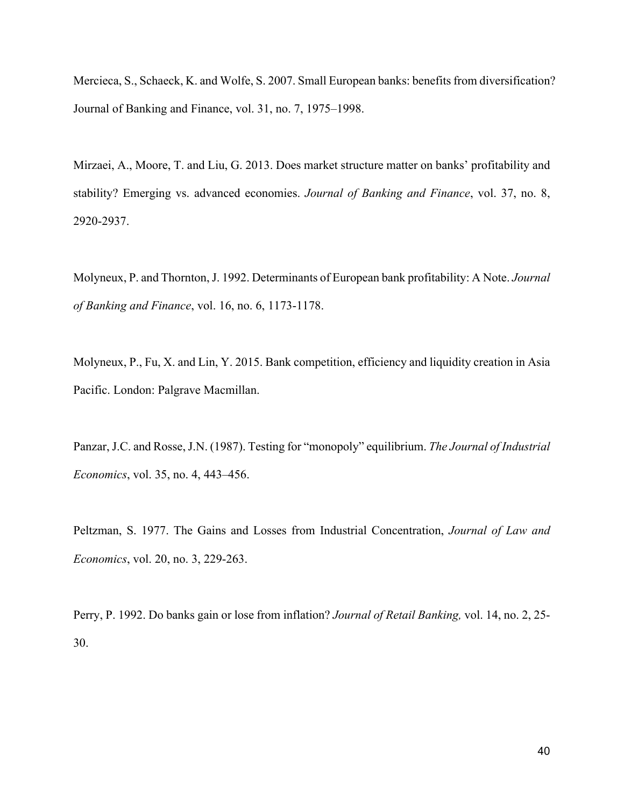Mercieca, S., Schaeck, K. and Wolfe, S. 2007. Small European banks: benefits from diversification? Journal of Banking and Finance, vol. 31, no. 7, 1975–1998.

Mirzaei, A., Moore, T. and Liu, G. 2013. Does market structure matter on banks' profitability and stability? Emerging vs. advanced economies. *Journal of Banking and Finance*, vol. 37, no. 8, 2920-2937.

Molyneux, P. and Thornton, J. 1992. Determinants of European bank profitability: A Note. *Journal of Banking and Finance*, vol. 16, no. 6, 1173-1178.

Molyneux, P., Fu, X. and Lin, Y. 2015. Bank competition, efficiency and liquidity creation in Asia Pacific. London: Palgrave Macmillan.

Panzar, J.C. and Rosse, J.N. (1987). Testing for "monopoly" equilibrium. *The Journal of Industrial Economics*, vol. 35, no. 4, 443–456.

Peltzman, S. 1977. The Gains and Losses from Industrial Concentration, *Journal of Law and Economics*, vol. 20, no. 3, 229-263.

Perry, P. 1992. Do banks gain or lose from inflation? *Journal of Retail Banking,* vol. 14, no. 2, 25- 30.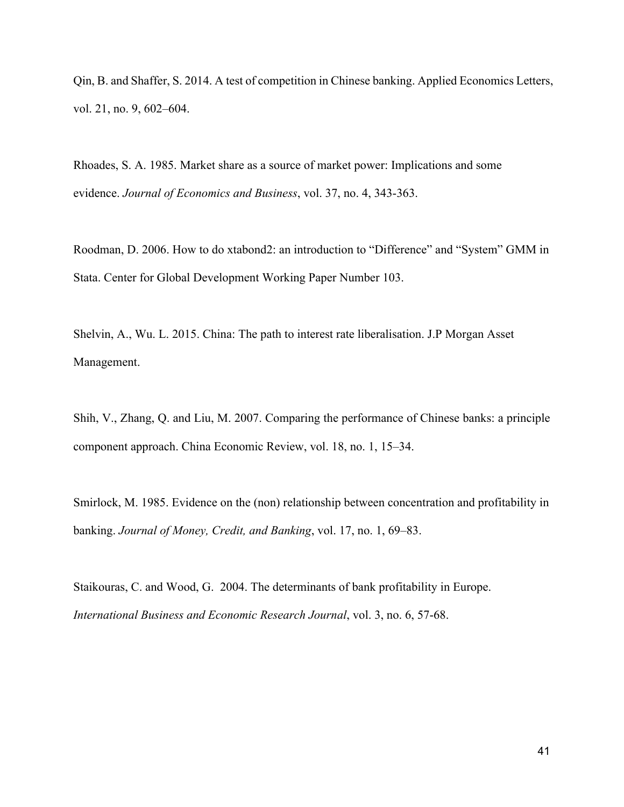Qin, B. and Shaffer, S. 2014. A test of competition in Chinese banking. Applied Economics Letters, vol. 21, no. 9, 602–604.

Rhoades, S. A. 1985. Market share as a source of market power: Implications and some evidence. *Journal of Economics and Business*, vol. 37, no. 4, 343-363.

Roodman, D. 2006. How to do xtabond2: an introduction to "Difference" and "System" GMM in Stata. Center for Global Development Working Paper Number 103.

Shelvin, A., Wu. L. 2015. China: The path to interest rate liberalisation. J.P Morgan Asset Management.

Shih, V., Zhang, Q. and Liu, M. 2007. Comparing the performance of Chinese banks: a principle component approach. China Economic Review, vol. 18, no. 1, 15–34.

Smirlock, M. 1985. Evidence on the (non) relationship between concentration and profitability in banking. *Journal of Money, Credit, and Banking*, vol. 17, no. 1, 69–83.

Staikouras, C. and Wood, G. 2004. The determinants of bank profitability in Europe. *International Business and Economic Research Journal*, vol. 3, no. 6, 57-68.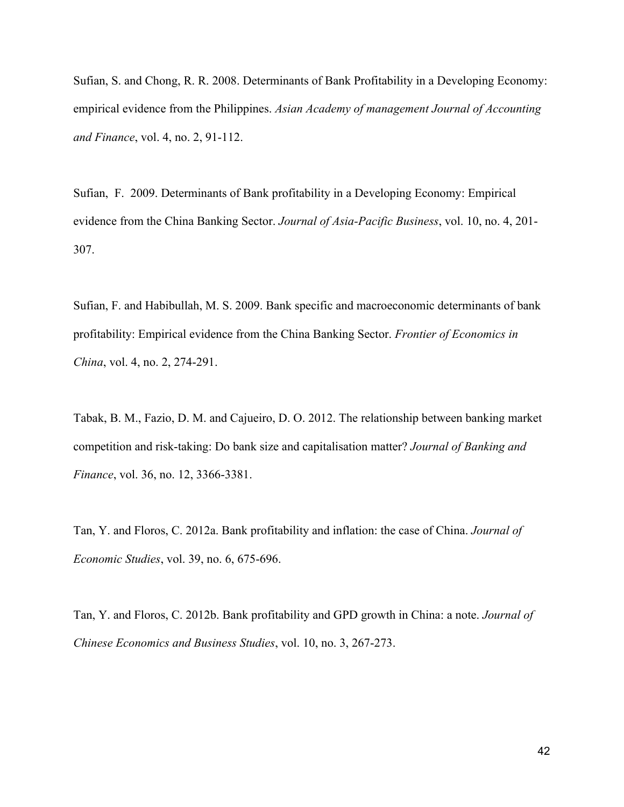Sufian, S. and Chong, R. R. 2008. Determinants of Bank Profitability in a Developing Economy: empirical evidence from the Philippines. *Asian Academy of management Journal of Accounting and Finance*, vol. 4, no. 2, 91-112.

Sufian, F. 2009. Determinants of Bank profitability in a Developing Economy: Empirical evidence from the China Banking Sector. *Journal of Asia-Pacific Business*, vol. 10, no. 4, 201- 307.

Sufian, F. and Habibullah, M. S. 2009. Bank specific and macroeconomic determinants of bank profitability: Empirical evidence from the China Banking Sector. *Frontier of Economics in China*, vol. 4, no. 2, 274-291.

Tabak, B. M., Fazio, D. M. and Cajueiro, D. O. 2012. The relationship between banking market competition and risk-taking: Do bank size and capitalisation matter? *Journal of Banking and Finance*, vol. 36, no. 12, 3366-3381.

Tan, Y. and Floros, C. 2012a. Bank profitability and inflation: the case of China. *Journal of Economic Studies*, vol. 39, no. 6, 675-696.

Tan, Y. and Floros, C. 2012b. Bank profitability and GPD growth in China: a note. *Journal of Chinese Economics and Business Studies*, vol. 10, no. 3, 267-273.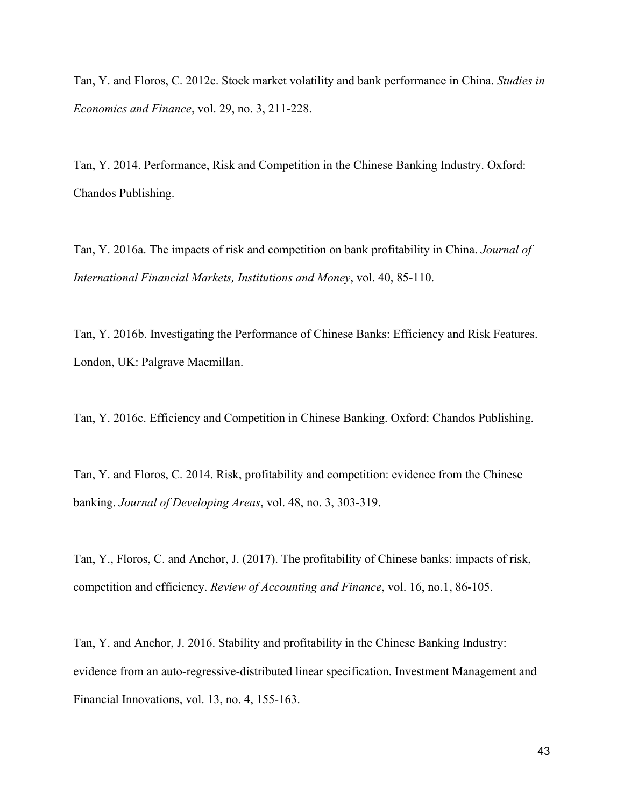Tan, Y. and Floros, C. 2012c. Stock market volatility and bank performance in China. *Studies in Economics and Finance*, vol. 29, no. 3, 211-228.

Tan, Y. 2014. Performance, Risk and Competition in the Chinese Banking Industry. Oxford: Chandos Publishing.

Tan, Y. 2016a. The impacts of risk and competition on bank profitability in China. *Journal of International Financial Markets, Institutions and Money*, vol. 40, 85-110.

Tan, Y. 2016b. Investigating the Performance of Chinese Banks: Efficiency and Risk Features. London, UK: Palgrave Macmillan.

Tan, Y. 2016c. Efficiency and Competition in Chinese Banking. Oxford: Chandos Publishing.

Tan, Y. and Floros, C. 2014. Risk, profitability and competition: evidence from the Chinese banking. *Journal of Developing Areas*, vol. 48, no. 3, 303-319.

Tan, Y., Floros, C. and Anchor, J. (2017). The profitability of Chinese banks: impacts of risk, competition and efficiency. *Review of Accounting and Finance*, vol. 16, no.1, 86-105.

Tan, Y. and Anchor, J. 2016. Stability and profitability in the Chinese Banking Industry: evidence from an auto-regressive-distributed linear specification. Investment Management and Financial Innovations, vol. 13, no. 4, 155-163.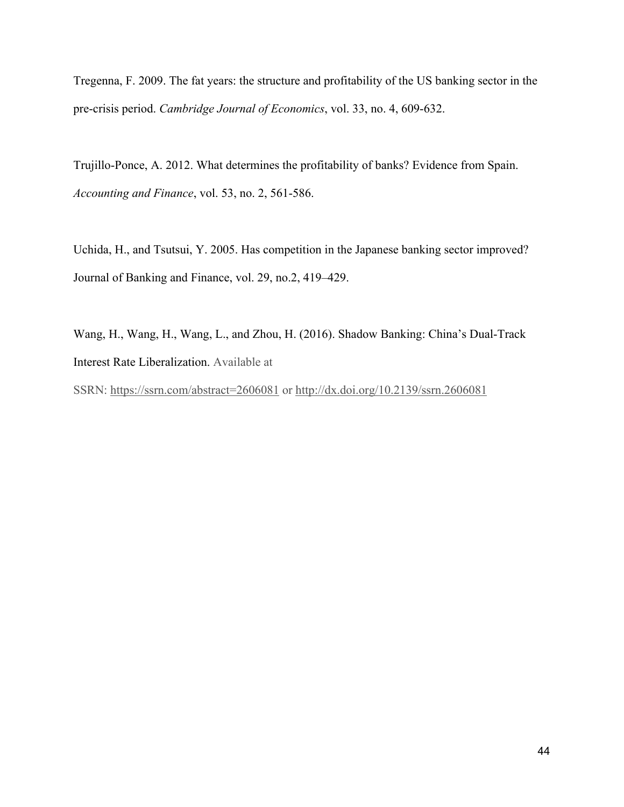Tregenna, F. 2009. The fat years: the structure and profitability of the US banking sector in the pre-crisis period. *Cambridge Journal of Economics*, vol. 33, no. 4, 609-632.

Trujillo-Ponce, A. 2012. What determines the profitability of banks? Evidence from Spain. *Accounting and Finance*, vol. 53, no. 2, 561-586.

Uchida, H., and Tsutsui, Y. 2005. Has competition in the Japanese banking sector improved? Journal of Banking and Finance, vol. 29, no.2, 419–429.

Wang, H., Wang, H., Wang, L., and Zhou, H. (2016). Shadow Banking: China's Dual-Track Interest Rate Liberalization. Available at

SSRN:<https://ssrn.com/abstract=2606081> or<http://dx.doi.org/10.2139/ssrn.2606081>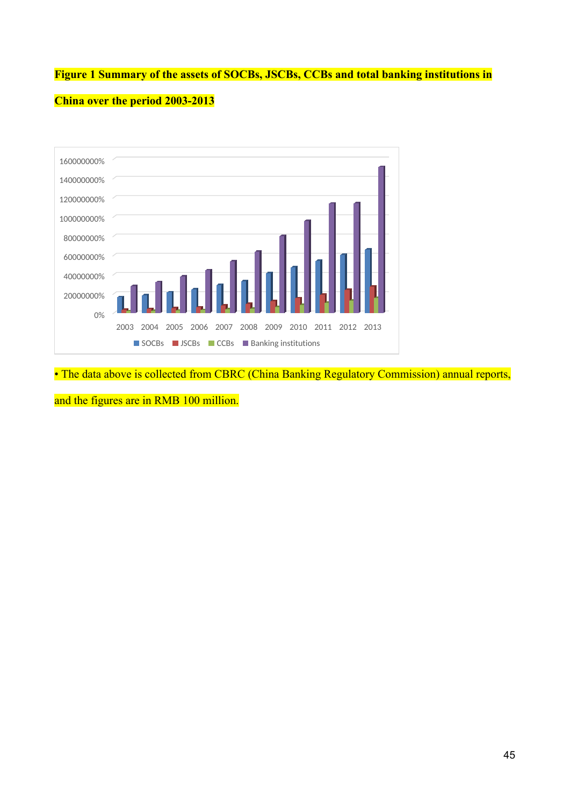# **Figure 1 Summary of the assets of SOCBs, JSCBs, CCBs and total banking institutions in**



# **China over the period 2003-2013**

• The data above is collected from CBRC (China Banking Regulatory Commission) annual reports,

and the figures are in RMB 100 million.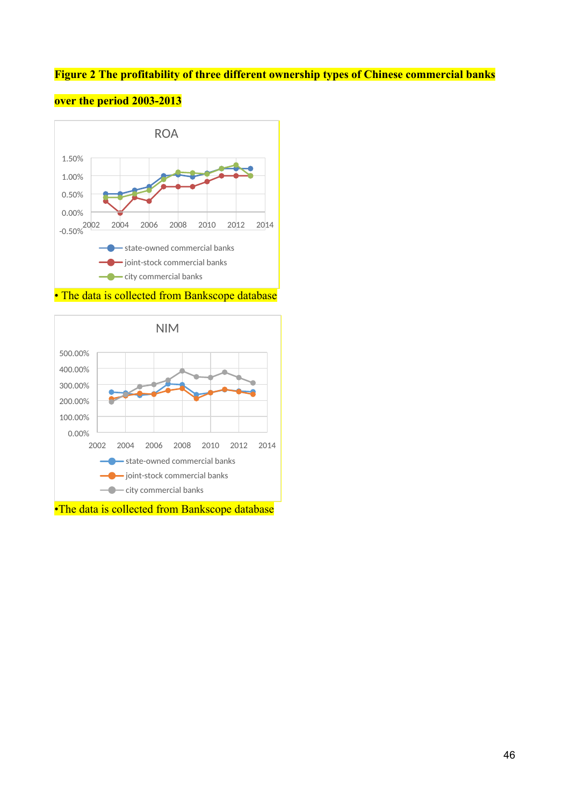# **Figure 2 The profitability of three different ownership types of Chinese commercial banks**



**over the period 2003-2013**

• The data is collected from Bankscope database



•The data is collected from Bankscope database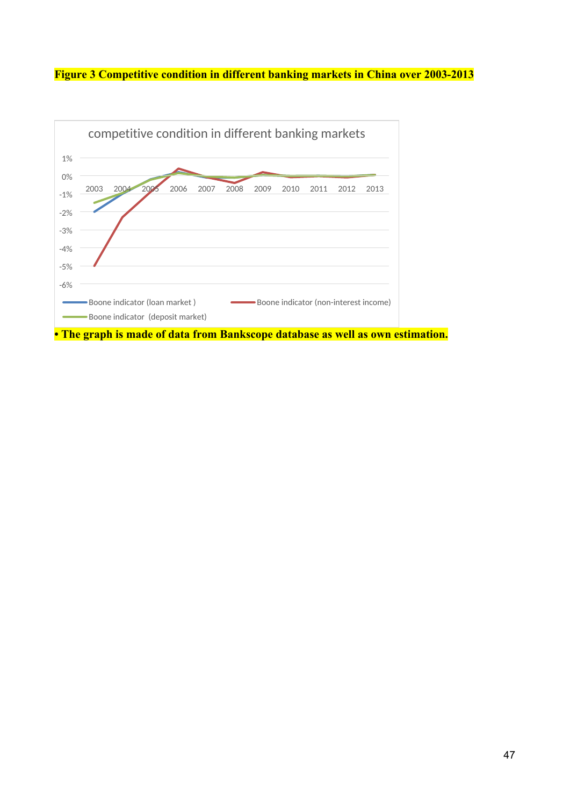**Figure 3 Competitive condition in different banking markets in China over 2003-2013**

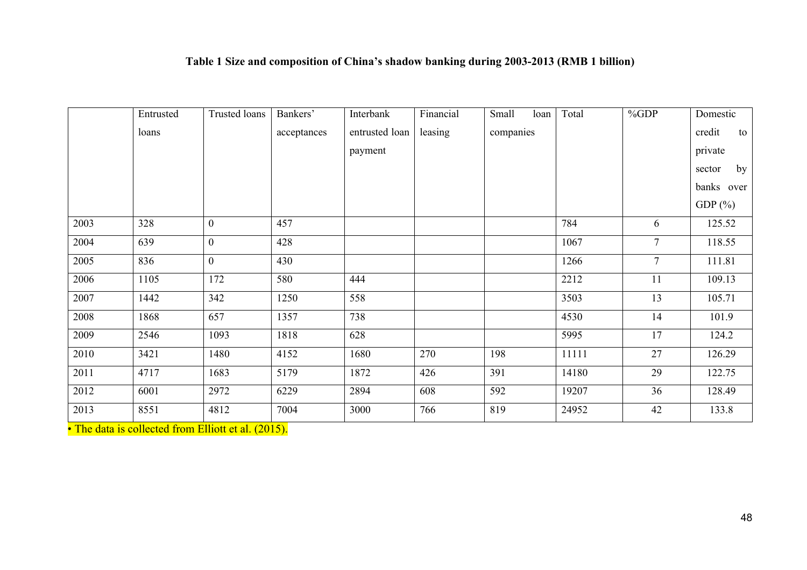# **Table 1 Size and composition of China's shadow banking during 2003-2013 (RMB 1 billion)**

|      | Entrusted | <b>Trusted loans</b> | Bankers'    | Interbank      | Financial | Small<br>loan | Total | %GDP            | Domestic     |
|------|-----------|----------------------|-------------|----------------|-----------|---------------|-------|-----------------|--------------|
|      | loans     |                      | acceptances | entrusted loan | leasing   | companies     |       |                 | credit<br>to |
|      |           |                      |             | payment        |           |               |       |                 | private      |
|      |           |                      |             |                |           |               |       |                 | by<br>sector |
|      |           |                      |             |                |           |               |       |                 | banks over   |
|      |           |                      |             |                |           |               |       |                 | GDP $(\% )$  |
| 2003 | 328       | $\mathbf{0}$         | 457         |                |           |               | 784   | 6               | 125.52       |
| 2004 | 639       | $\mathbf{0}$         | 428         |                |           |               | 1067  | $\tau$          | 118.55       |
| 2005 | 836       | $\mathbf{0}$         | 430         |                |           |               | 1266  | $7\overline{ }$ | 111.81       |
| 2006 | 1105      | 172                  | 580         | 444            |           |               | 2212  | 11              | 109.13       |
| 2007 | 1442      | 342                  | 1250        | 558            |           |               | 3503  | 13              | 105.71       |
| 2008 | 1868      | 657                  | 1357        | 738            |           |               | 4530  | 14              | 101.9        |
| 2009 | 2546      | 1093                 | 1818        | 628            |           |               | 5995  | 17              | 124.2        |
| 2010 | 3421      | 1480                 | 4152        | 1680           | 270       | 198           | 11111 | 27              | 126.29       |
| 2011 | 4717      | 1683                 | 5179        | 1872           | 426       | 391           | 14180 | 29              | 122.75       |
| 2012 | 6001      | 2972                 | 6229        | 2894           | 608       | 592           | 19207 | 36              | 128.49       |
| 2013 | 8551      | 4812                 | 7004        | 3000           | 766       | 819           | 24952 | 42              | 133.8        |

• The data is collected from Elliott et al. (2015).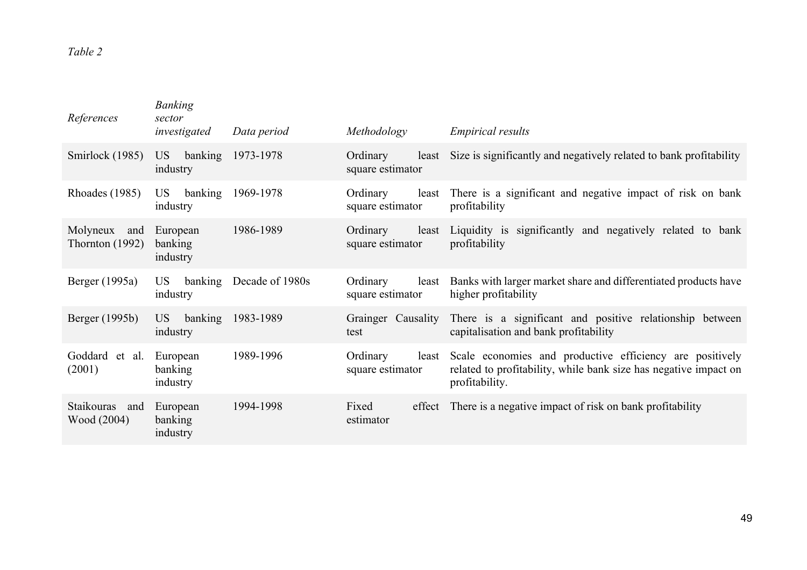# *Table 2*

| References                        | <b>Banking</b><br>sector<br>investigated | Data period     | Methodology                           | <i>Empirical results</i>                                                                                                                             |
|-----------------------------------|------------------------------------------|-----------------|---------------------------------------|------------------------------------------------------------------------------------------------------------------------------------------------------|
| Smirlock (1985)                   | banking<br>US<br>industry                | 1973-1978       | Ordinary<br>square estimator          | least Size is significantly and negatively related to bank profitability                                                                             |
| Rhoades (1985)                    | US <sub>.</sub><br>banking<br>industry   | 1969-1978       | Ordinary<br>square estimator          | least There is a significant and negative impact of risk on bank<br>profitability                                                                    |
| Molyneux and<br>Thornton $(1992)$ | European<br>banking<br>industry          | 1986-1989       | Ordinary<br>square estimator          | least Liquidity is significantly and negatively related to bank<br>profitability                                                                     |
| Berger (1995a)                    | US.<br>banking<br>industry               | Decade of 1980s | Ordinary<br>least<br>square estimator | Banks with larger market share and differentiated products have<br>higher profitability                                                              |
| Berger (1995b)                    | banking<br>US<br>industry                | 1983-1989       | test                                  | Grainger Causality There is a significant and positive relationship between<br>capitalisation and bank profitability                                 |
| Goddard et al.<br>(2001)          | European<br>banking<br>industry          | 1989-1996       | Ordinary<br>square estimator          | least Scale economies and productive efficiency are positively<br>related to profitability, while bank size has negative impact on<br>profitability. |
| Staikouras<br>and<br>Wood (2004)  | European<br>banking<br>industry          | 1994-1998       | Fixed<br>estimator                    | effect There is a negative impact of risk on bank profitability                                                                                      |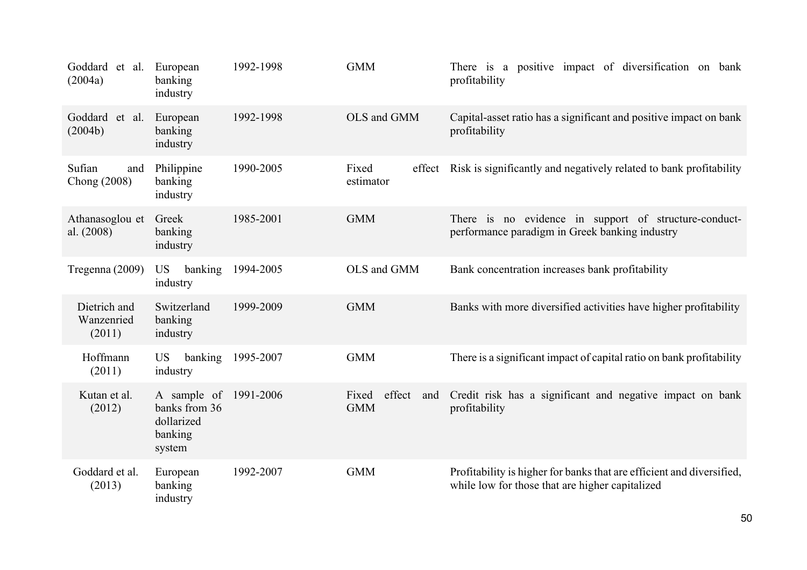| Goddard et al.<br>(2004a)            | European<br>banking<br>industry                                 | 1992-1998 | <b>GMM</b>                           | There is a positive impact of diversification on bank<br>profitability                                                   |
|--------------------------------------|-----------------------------------------------------------------|-----------|--------------------------------------|--------------------------------------------------------------------------------------------------------------------------|
| Goddard et al.<br>(2004b)            | European<br>banking<br>industry                                 | 1992-1998 | OLS and GMM                          | Capital-asset ratio has a significant and positive impact on bank<br>profitability                                       |
| Sufian<br>and<br>Chong (2008)        | Philippine<br>banking<br>industry                               | 1990-2005 | Fixed<br>effect<br>estimator         | Risk is significantly and negatively related to bank profitability                                                       |
| Athanasoglou et<br>al. $(2008)$      | Greek<br>banking<br>industry                                    | 1985-2001 | <b>GMM</b>                           | There is no evidence in support of structure-conduct-<br>performance paradigm in Greek banking industry                  |
| Tregenna (2009)                      | banking<br><b>US</b><br>industry                                | 1994-2005 | OLS and GMM                          | Bank concentration increases bank profitability                                                                          |
| Dietrich and<br>Wanzenried<br>(2011) | Switzerland<br>banking<br>industry                              | 1999-2009 | <b>GMM</b>                           | Banks with more diversified activities have higher profitability                                                         |
| Hoffmann<br>(2011)                   | banking<br><b>US</b><br>industry                                | 1995-2007 | <b>GMM</b>                           | There is a significant impact of capital ratio on bank profitability                                                     |
| Kutan et al.<br>(2012)               | A sample of<br>banks from 36<br>dollarized<br>banking<br>system | 1991-2006 | effect<br>Fixed<br>and<br><b>GMM</b> | Credit risk has a significant and negative impact on bank<br>profitability                                               |
| Goddard et al.<br>(2013)             | European<br>banking<br>industry                                 | 1992-2007 | <b>GMM</b>                           | Profitability is higher for banks that are efficient and diversified,<br>while low for those that are higher capitalized |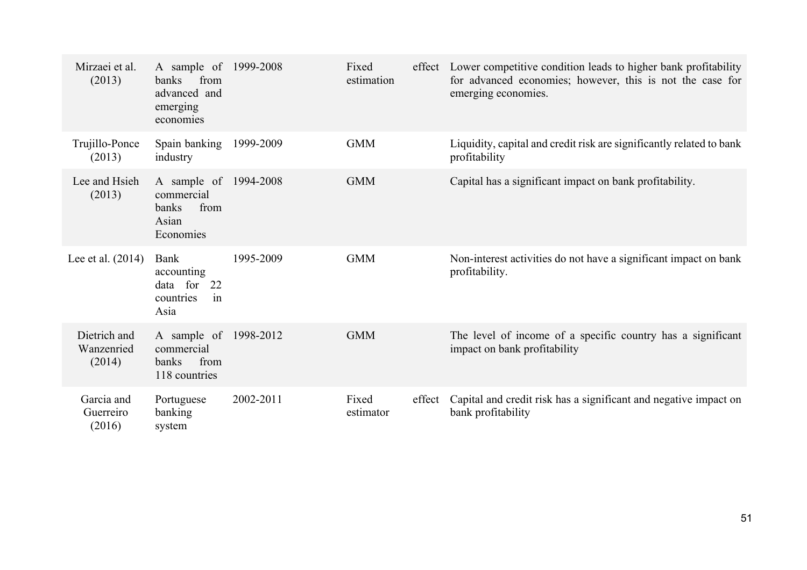| Mirzaei et al.<br>(2013)             | A sample of 1999-2008<br>banks<br>from<br>advanced and<br>emerging<br>economies |           | Fixed<br>estimation |        | effect Lower competitive condition leads to higher bank profitability<br>for advanced economies; however, this is not the case for<br>emerging economies. |
|--------------------------------------|---------------------------------------------------------------------------------|-----------|---------------------|--------|-----------------------------------------------------------------------------------------------------------------------------------------------------------|
| Trujillo-Ponce<br>(2013)             | Spain banking<br>industry                                                       | 1999-2009 | <b>GMM</b>          |        | Liquidity, capital and credit risk are significantly related to bank<br>profitability                                                                     |
| Lee and Hsieh<br>(2013)              | A sample of 1994-2008<br>commercial<br>banks<br>from<br>Asian<br>Economies      |           | <b>GMM</b>          |        | Capital has a significant impact on bank profitability.                                                                                                   |
| Lee et al. $(2014)$                  | Bank<br>accounting<br>data for<br>22<br>countries<br>in<br>Asia                 | 1995-2009 | <b>GMM</b>          |        | Non-interest activities do not have a significant impact on bank<br>profitability.                                                                        |
| Dietrich and<br>Wanzenried<br>(2014) | A sample of 1998-2012<br>commercial<br>from<br>banks<br>118 countries           |           | <b>GMM</b>          |        | The level of income of a specific country has a significant<br>impact on bank profitability                                                               |
| Garcia and<br>Guerreiro<br>(2016)    | Portuguese<br>banking<br>system                                                 | 2002-2011 | Fixed<br>estimator  | effect | Capital and credit risk has a significant and negative impact on<br>bank profitability                                                                    |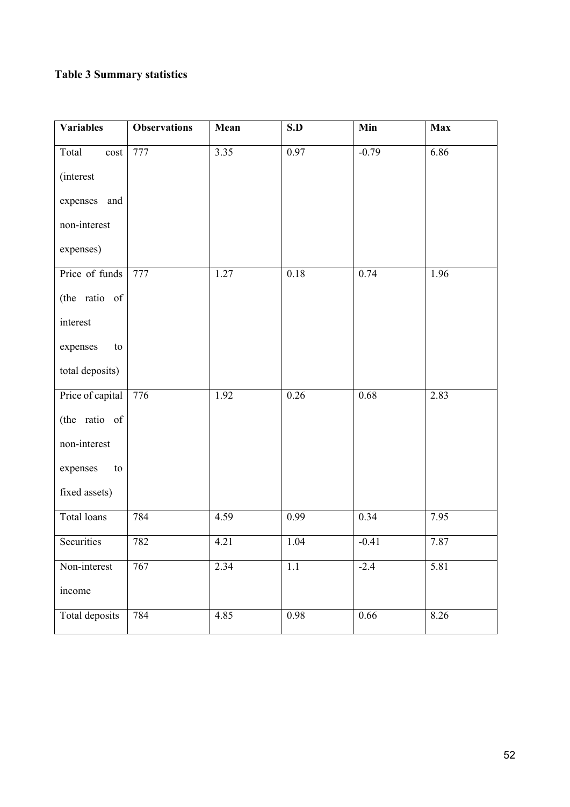# **Table 3 Summary statistics**

| Variables          | <b>Observations</b> | Mean | S.D  | Min     | <b>Max</b>        |
|--------------------|---------------------|------|------|---------|-------------------|
| Total<br>cost      | 777                 | 3.35 | 0.97 | $-0.79$ | 6.86              |
| <i>(interest)</i>  |                     |      |      |         |                   |
| expenses<br>and    |                     |      |      |         |                   |
| non-interest       |                     |      |      |         |                   |
| expenses)          |                     |      |      |         |                   |
| Price of funds     | 777                 | 1.27 | 0.18 | 0.74    | 1.96              |
| (the ratio of      |                     |      |      |         |                   |
| interest           |                     |      |      |         |                   |
| expenses<br>to     |                     |      |      |         |                   |
| total deposits)    |                     |      |      |         |                   |
| Price of capital   | 776                 | 1.92 | 0.26 | 0.68    | 2.83              |
| (the ratio of      |                     |      |      |         |                   |
| non-interest       |                     |      |      |         |                   |
| expenses<br>to     |                     |      |      |         |                   |
| fixed assets)      |                     |      |      |         |                   |
| <b>Total loans</b> | 784                 | 4.59 | 0.99 | 0.34    | 7.95              |
| Securities         | 782                 | 4.21 | 1.04 | $-0.41$ | 7.87              |
| Non-interest       | 767                 | 2.34 | 1.1  | $-2.4$  | $\overline{5.81}$ |
| income             |                     |      |      |         |                   |
| Total deposits     | 784                 | 4.85 | 0.98 | 0.66    | 8.26              |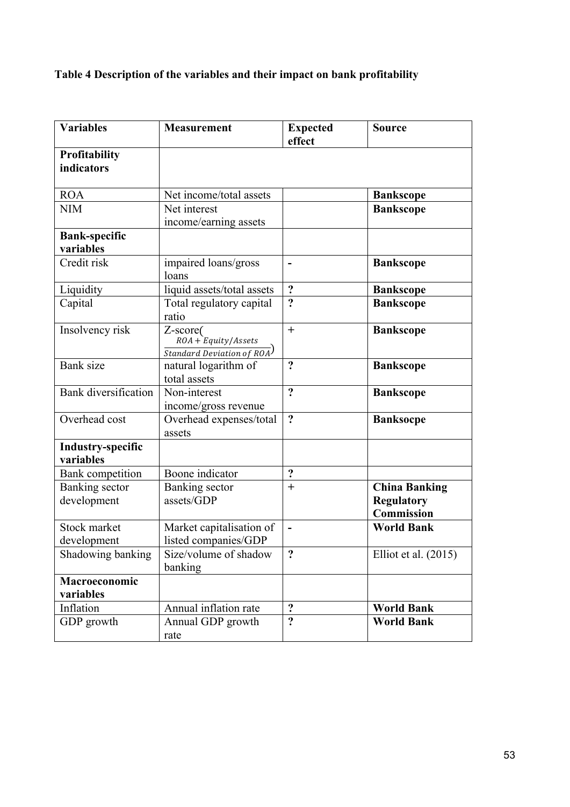# **Table 4 Description of the variables and their impact on bank profitability**

| <b>Variables</b>                      | <b>Measurement</b>                                                      | <b>Expected</b><br>effect    | <b>Source</b>                                                  |
|---------------------------------------|-------------------------------------------------------------------------|------------------------------|----------------------------------------------------------------|
| Profitability<br>indicators           |                                                                         |                              |                                                                |
| <b>ROA</b>                            | Net income/total assets                                                 |                              | <b>Bankscope</b>                                               |
| <b>NIM</b>                            | Net interest<br>income/earning assets                                   |                              | <b>Bankscope</b>                                               |
| <b>Bank-specific</b><br>variables     |                                                                         |                              |                                                                |
| Credit risk                           | impaired loans/gross<br>loans                                           | $\qquad \qquad \blacksquare$ | <b>Bankscope</b>                                               |
| Liquidity                             | liquid assets/total assets                                              | $\ddot{\cdot}$               | <b>Bankscope</b>                                               |
| Capital                               | Total regulatory capital<br>ratio                                       | $\ddot{\cdot}$               | <b>Bankscope</b>                                               |
| Insolvency risk                       | Z-score(<br>$ROA + Equity/Assets$<br><b>Standard Deviation of ROA</b> ) | $^{+}$                       | <b>Bankscope</b>                                               |
| <b>Bank</b> size                      | natural logarithm of<br>total assets                                    | $\ddot{\mathbf{c}}$          | <b>Bankscope</b>                                               |
| <b>Bank</b> diversification           | Non-interest<br>income/gross revenue                                    | $\overline{?}$               | <b>Bankscope</b>                                               |
| Overhead cost                         | Overhead expenses/total<br>assets                                       | $\ddot{\cdot}$               | <b>Banksocpe</b>                                               |
| <b>Industry-specific</b><br>variables |                                                                         |                              |                                                                |
| <b>Bank</b> competition               | Boone indicator                                                         | $\ddot{\cdot}$               |                                                                |
| Banking sector<br>development         | Banking sector<br>assets/GDP                                            | $^{+}$                       | <b>China Banking</b><br><b>Regulatory</b><br><b>Commission</b> |
| Stock market<br>development           | Market capitalisation of<br>listed companies/GDP                        |                              | <b>World Bank</b>                                              |
| Shadowing banking                     | Size/volume of shadow<br>banking                                        | $\ddot{\cdot}$               | Elliot et al. $(2015)$                                         |
| Macroeconomic<br>variables            |                                                                         |                              |                                                                |
| Inflation                             | Annual inflation rate                                                   | $\ddot{\cdot}$               | <b>World Bank</b>                                              |
| GDP growth                            | Annual GDP growth<br>rate                                               | $\ddot{\mathbf{c}}$          | <b>World Bank</b>                                              |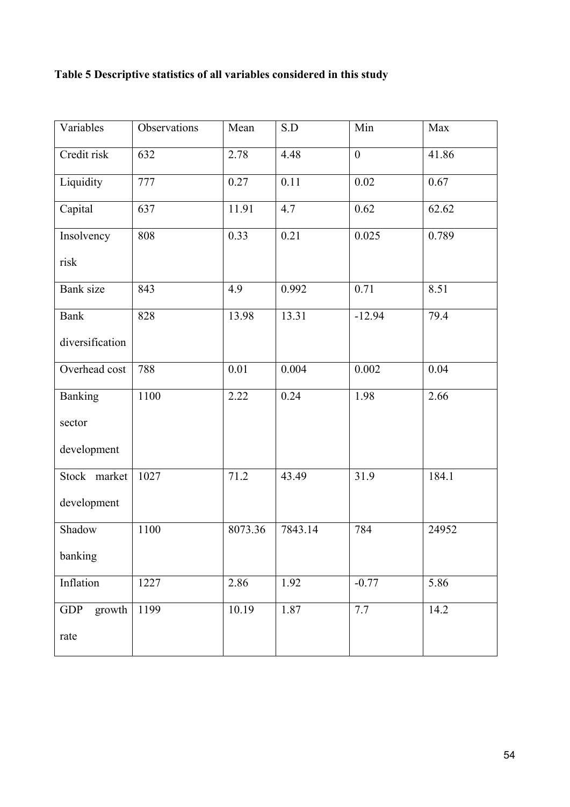# **Table 5 Descriptive statistics of all variables considered in this study**

| Variables            | Observations | Mean    | S.D     | Min              | Max   |
|----------------------|--------------|---------|---------|------------------|-------|
| Credit risk          | 632          | 2.78    | 4.48    | $\boldsymbol{0}$ | 41.86 |
| Liquidity            | 777          | 0.27    | 0.11    | $0.02\,$         | 0.67  |
| Capital              | 637          | 11.91   | 4.7     | 0.62             | 62.62 |
| Insolvency           | 808          | 0.33    | 0.21    | 0.025            | 0.789 |
| risk                 |              |         |         |                  |       |
| Bank size            | 843          | 4.9     | 0.992   | 0.71             | 8.51  |
| <b>Bank</b>          | 828          | 13.98   | 13.31   | $-12.94$         | 79.4  |
| diversification      |              |         |         |                  |       |
| Overhead cost        | 788          | 0.01    | 0.004   | 0.002            | 0.04  |
| <b>Banking</b>       | 1100         | 2.22    | 0.24    | 1.98             | 2.66  |
| sector               |              |         |         |                  |       |
| development          |              |         |         |                  |       |
| Stock market         | 1027         | 71.2    | 43.49   | 31.9             | 184.1 |
| development          |              |         |         |                  |       |
| Shadow               | 1100         | 8073.36 | 7843.14 | 784              | 24952 |
| banking              |              |         |         |                  |       |
| Inflation            | 1227         | 2.86    | 1.92    | $-0.77$          | 5.86  |
| <b>GDP</b><br>growth | 1199         | 10.19   | 1.87    | 7.7              | 14.2  |
| rate                 |              |         |         |                  |       |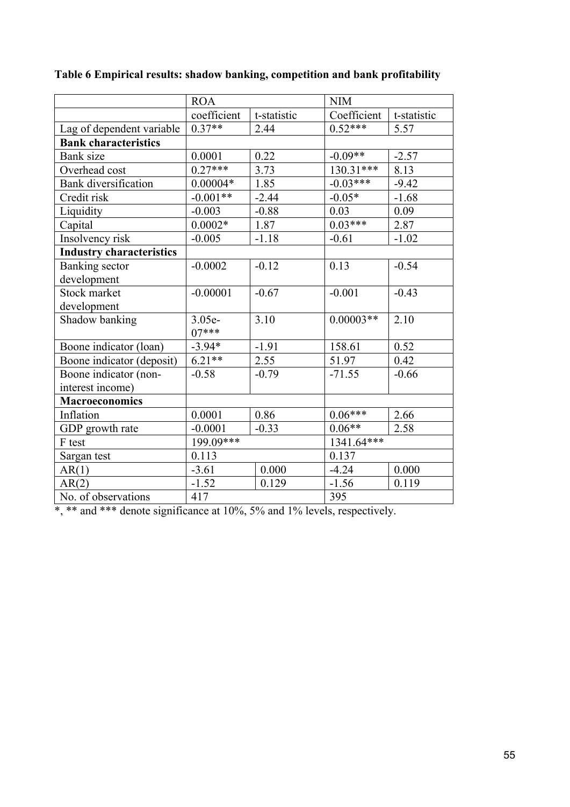|                                 | <b>ROA</b>  |             | <b>NIM</b>   |             |
|---------------------------------|-------------|-------------|--------------|-------------|
|                                 | coefficient | t-statistic | Coefficient  | t-statistic |
| Lag of dependent variable       | $0.37**$    | 2.44        | $0.52***$    | 5.57        |
| <b>Bank characteristics</b>     |             |             |              |             |
| <b>Bank</b> size                | 0.0001      | 0.22        | $-0.09**$    | $-2.57$     |
| Overhead cost                   | $0.27***$   | 3.73        | 130.31***    | 8.13        |
| Bank diversification            | $0.00004*$  | 1.85        | $-0.03***$   | $-9.42$     |
| Credit risk                     | $-0.001**$  | $-2.44$     | $-0.05*$     | $-1.68$     |
| Liquidity                       | $-0.003$    | $-0.88$     | 0.03         | 0.09        |
| Capital                         | $0.0002*$   | 1.87        | $0.03***$    | 2.87        |
| Insolvency risk                 | $-0.005$    | $-1.18$     | $-0.61$      | $-1.02$     |
| <b>Industry characteristics</b> |             |             |              |             |
| Banking sector                  | $-0.0002$   | $-0.12$     | 0.13         | $-0.54$     |
| development                     |             |             |              |             |
| Stock market                    | $-0.00001$  | $-0.67$     | $-0.001$     | $-0.43$     |
| development                     |             |             |              |             |
| Shadow banking                  | 3.05e-      | 3.10        | $0.00003**$  | 2.10        |
|                                 | $07***$     |             |              |             |
| Boone indicator (loan)          | $-3.94*$    | $-1.91$     | 158.61       | 0.52        |
| Boone indicator (deposit)       | $6.21**$    | 2.55        | 51.97        | 0.42        |
| Boone indicator (non-           | $-0.58$     | $-0.79$     | $-71.55$     | $-0.66$     |
| interest income)                |             |             |              |             |
| <b>Macroeconomics</b>           |             |             |              |             |
| Inflation                       | 0.0001      | 0.86        | $0.06***$    | 2.66        |
| GDP growth rate                 | $-0.0001$   | $-0.33$     | $0.06**$     | 2.58        |
| F test                          | 199.09***   |             | $1341.64***$ |             |
| Sargan test                     | 0.113       |             | 0.137        |             |
| AR(1)                           | $-3.61$     | 0.000       | $-4.24$      | 0.000       |
| AR(2)                           | $-1.52$     | 0.129       | $-1.56$      | 0.119       |
| No. of observations             | 417         |             | 395          |             |

**Table 6 Empirical results: shadow banking, competition and bank profitability**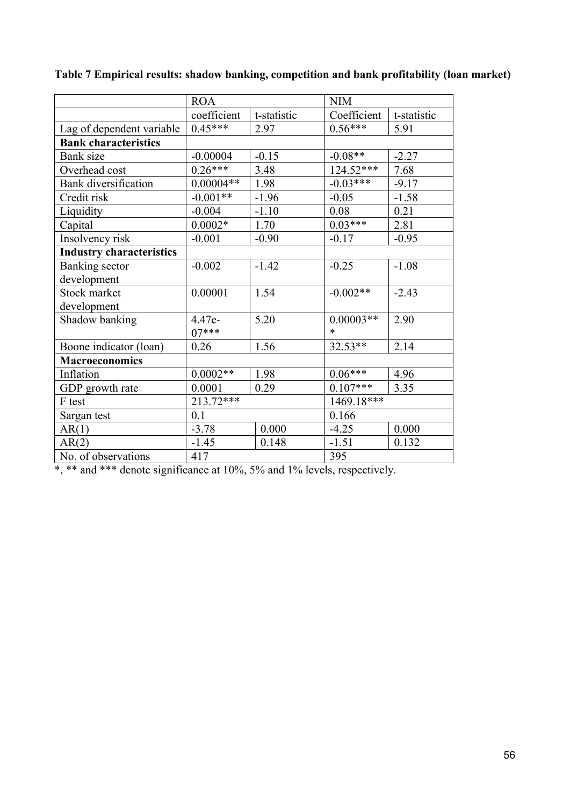|                                 | <b>ROA</b>  |             | <b>NIM</b>  |             |
|---------------------------------|-------------|-------------|-------------|-------------|
|                                 | coefficient | t-statistic | Coefficient | t-statistic |
| Lag of dependent variable       | $0.45***$   | 2.97        | $0.56***$   | 5.91        |
| <b>Bank characteristics</b>     |             |             |             |             |
| Bank size                       | $-0.00004$  | $-0.15$     | $-0.08**$   | $-2.27$     |
| Overhead cost                   | $0.26***$   | 3.48        | 124.52***   | 7.68        |
| <b>Bank</b> diversification     | $0.00004**$ | 1.98        | $-0.03***$  | $-9.17$     |
| Credit risk                     | $-0.001**$  | $-1.96$     | $-0.05$     | $-1.58$     |
| Liquidity                       | $-0.004$    | $-1.10$     | 0.08        | 0.21        |
| Capital                         | $0.0002*$   | 1.70        | $0.03***$   | 2.81        |
| Insolvency risk                 | $-0.001$    | $-0.90$     | $-0.17$     | $-0.95$     |
| <b>Industry characteristics</b> |             |             |             |             |
| Banking sector                  | $-0.002$    | $-1.42$     | $-0.25$     | $-1.08$     |
| development                     |             |             |             |             |
| Stock market                    | 0.00001     | 1.54        | $-0.002**$  | $-2.43$     |
| development                     |             |             |             |             |
| Shadow banking                  | 4.47e-      | 5.20        | $0.00003**$ | 2.90        |
|                                 | $07***$     |             | $\ast$      |             |
| Boone indicator (loan)          | 0.26        | 1.56        | $32.53**$   | 2.14        |
| <b>Macroeconomics</b>           |             |             |             |             |
| Inflation                       | $0.0002**$  | 1.98        | $0.06***$   | 4.96        |
| GDP growth rate                 | 0.0001      | 0.29        | $0.107***$  | 3.35        |
| F test                          | 213.72***   |             | 1469.18***  |             |
| Sargan test                     | 0.1         |             | 0.166       |             |
| AR(1)                           | $-3.78$     | 0.000       | $-4.25$     | 0.000       |
| AR(2)                           | $-1.45$     | 0.148       | $-1.51$     | 0.132       |
| No. of observations             | 417         |             | 395         |             |

**Table 7 Empirical results: shadow banking, competition and bank profitability (loan market)**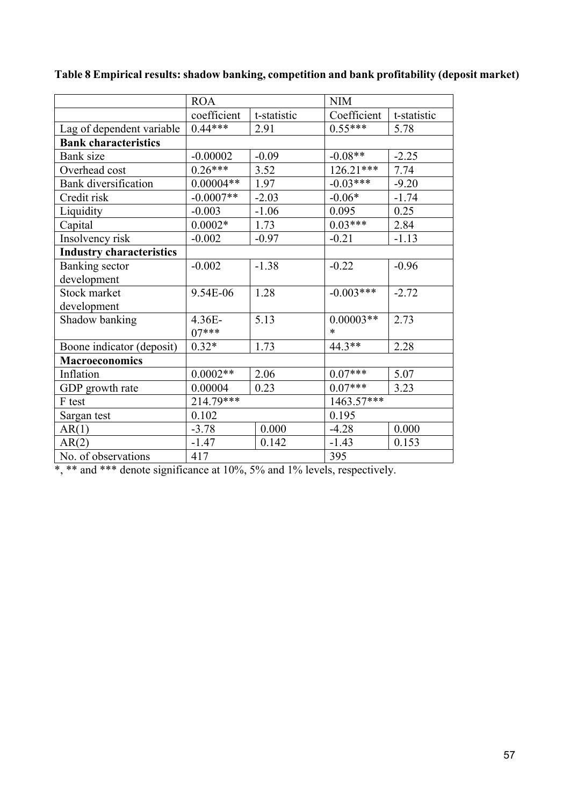|                                 | <b>ROA</b>  |             | <b>NIM</b>  |             |
|---------------------------------|-------------|-------------|-------------|-------------|
|                                 | coefficient | t-statistic | Coefficient | t-statistic |
| Lag of dependent variable       | $0.44***$   | 2.91        | $0.55***$   | 5.78        |
| <b>Bank characteristics</b>     |             |             |             |             |
| Bank size                       | $-0.00002$  | $-0.09$     | $-0.08**$   | $-2.25$     |
| Overhead cost                   | $0.26***$   | 3.52        | $126.21***$ | 7.74        |
| <b>Bank</b> diversification     | $0.00004**$ | 1.97        | $-0.03***$  | $-9.20$     |
| Credit risk                     | $-0.0007**$ | $-2.03$     | $-0.06*$    | $-1.74$     |
| Liquidity                       | $-0.003$    | $-1.06$     | 0.095       | 0.25        |
| Capital                         | $0.0002*$   | 1.73        | $0.03***$   | 2.84        |
| Insolvency risk                 | $-0.002$    | $-0.97$     | $-0.21$     | $-1.13$     |
| <b>Industry characteristics</b> |             |             |             |             |
| Banking sector                  | $-0.002$    | $-1.38$     | $-0.22$     | $-0.96$     |
| development                     |             |             |             |             |
| Stock market                    | 9.54E-06    | 1.28        | $-0.003***$ | $-2.72$     |
| development                     |             |             |             |             |
| Shadow banking                  | $4.36E -$   | 5.13        | $0.00003**$ | 2.73        |
|                                 | $07***$     |             | $\ast$      |             |
| Boone indicator (deposit)       | $0.32*$     | 1.73        | $44.3**$    | 2.28        |
| <b>Macroeconomics</b>           |             |             |             |             |
| Inflation                       | $0.0002**$  | 2.06        | $0.07***$   | 5.07        |
| GDP growth rate                 | 0.00004     | 0.23        | $0.07***$   | 3.23        |
| F test                          | 214.79***   |             | 1463.57***  |             |
| Sargan test                     | 0.102       |             | 0.195       |             |
| AR(1)                           | $-3.78$     | 0.000       | $-4.28$     | 0.000       |
| AR(2)                           | $-1.47$     | 0.142       | $-1.43$     | 0.153       |
| No. of observations             | 417         |             | 395         |             |

**Table 8 Empirical results: shadow banking, competition and bank profitability (deposit market)**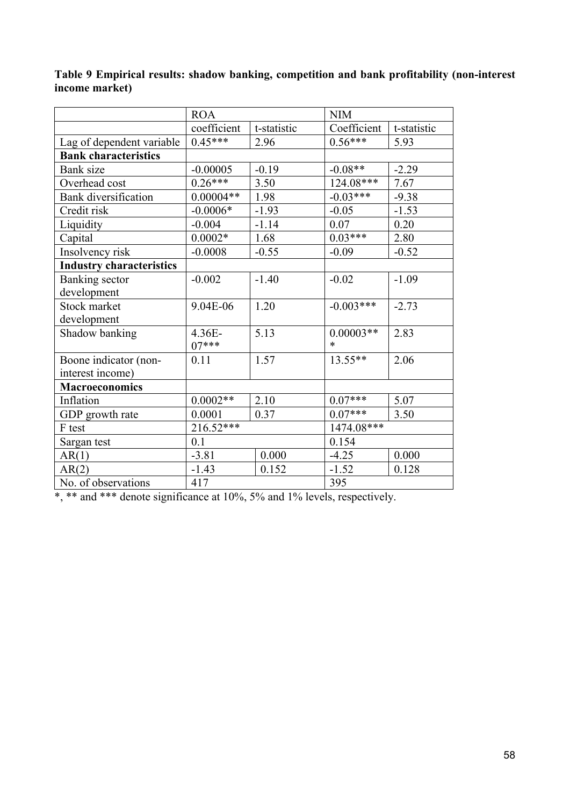|                                 | <b>ROA</b>  |             | <b>NIM</b>  |             |
|---------------------------------|-------------|-------------|-------------|-------------|
|                                 | coefficient | t-statistic | Coefficient | t-statistic |
| Lag of dependent variable       | $0.45***$   | 2.96        | $0.56***$   | 5.93        |
| <b>Bank characteristics</b>     |             |             |             |             |
| Bank size                       | $-0.00005$  | $-0.19$     | $-0.08**$   | $-2.29$     |
| Overhead cost                   | $0.26***$   | 3.50        | 124.08***   | 7.67        |
| Bank diversification            | $0.00004**$ | 1.98        | $-0.03***$  | $-9.38$     |
| Credit risk                     | $-0.0006*$  | $-1.93$     | $-0.05$     | $-1.53$     |
| Liquidity                       | $-0.004$    | $-1.14$     | 0.07        | 0.20        |
| Capital                         | $0.0002*$   | 1.68        | $0.03***$   | 2.80        |
| Insolvency risk                 | $-0.0008$   | $-0.55$     | $-0.09$     | $-0.52$     |
| <b>Industry characteristics</b> |             |             |             |             |
| Banking sector                  | $-0.002$    | $-1.40$     | $-0.02$     | $-1.09$     |
| development                     |             |             |             |             |
| Stock market                    | 9.04E-06    | 1.20        | $-0.003***$ | $-2.73$     |
| development                     |             |             |             |             |
| Shadow banking                  | 4.36E-      | 5.13        | $0.00003**$ | 2.83        |
|                                 | $07***$     |             | $\ast$      |             |
| Boone indicator (non-           | 0.11        | 1.57        | $13.55**$   | 2.06        |
| interest income)                |             |             |             |             |
| <b>Macroeconomics</b>           |             |             |             |             |
| Inflation                       | $0.0002**$  | 2.10        | $0.07***$   | 5.07        |
| GDP growth rate                 | 0.0001      | 0.37        | $0.07***$   | 3.50        |
| F test                          | 216.52***   |             | 1474.08***  |             |
| Sargan test                     | 0.1         |             | 0.154       |             |
| AR(1)                           | $-3.81$     | 0.000       | $-4.25$     | 0.000       |
| AR(2)                           | $-1.43$     | 0.152       | $-1.52$     | 0.128       |
| No. of observations             | 417         |             | 395         |             |

# **Table 9 Empirical results: shadow banking, competition and bank profitability (non-interest income market)**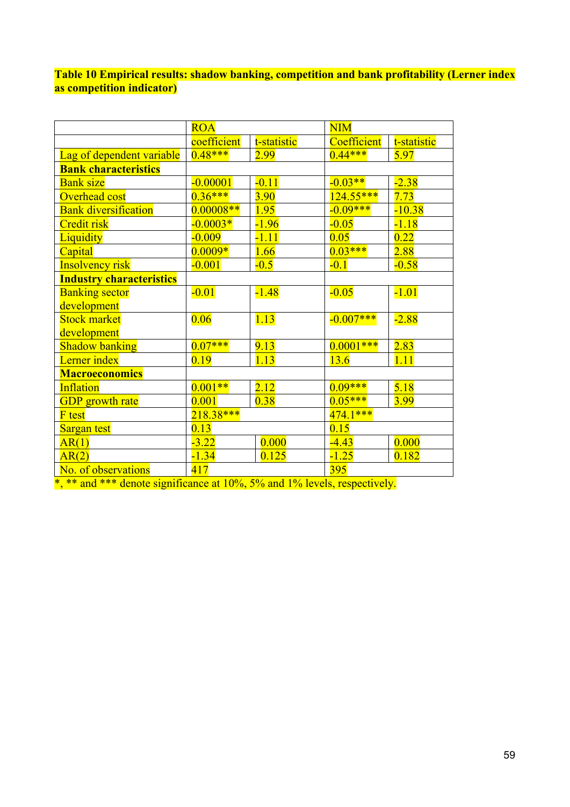**Table 10 Empirical results: shadow banking, competition and bank profitability (Lerner index as competition indicator)**

|                                 | <b>ROA</b>  |             | $\overline{\text{NIM}}$ |             |  |
|---------------------------------|-------------|-------------|-------------------------|-------------|--|
|                                 | coefficient | t-statistic | Coefficient             | t-statistic |  |
| Lag of dependent variable       | $0.48***$   | 2.99        | $0.44***$               | 5.97        |  |
| <b>Bank characteristics</b>     |             |             |                         |             |  |
| <b>Bank size</b>                | $-0.00001$  | $-0.11$     | $-0.03**$               | $-2.38$     |  |
| <b>Overhead cost</b>            | $0.36***$   | <b>3.90</b> | $124.55***$             | 7.73        |  |
| <b>Bank diversification</b>     | $0.00008**$ | 1.95        | $-0.09***$              | $-10.38$    |  |
| <b>Credit risk</b>              | $-0.0003*$  | $-1.96$     | $-0.05$                 | $-1.18$     |  |
| <b>Liquidity</b>                | $-0.009$    | $-1.11$     | 0.05                    | 0.22        |  |
| Capital                         | $0.0009*$   | 1.66        | $0.03***$               | 2.88        |  |
| <b>Insolvency risk</b>          | $-0.001$    | $-0.5$      | $-0.1$                  | $-0.58$     |  |
| <b>Industry characteristics</b> |             |             |                         |             |  |
| <b>Banking sector</b>           | $-0.01$     | $-1.48$     | $-0.05$                 | $-1.01$     |  |
| development                     |             |             |                         |             |  |
| <b>Stock market</b>             | 0.06        | 1.13        | $-0.007***$             | $-2.88$     |  |
| development                     |             |             |                         |             |  |
| <b>Shadow banking</b>           | $0.07***$   | 9.13        | $0.0001***$             | 2.83        |  |
| Lerner index                    | 0.19        | 1.13        | 13.6                    | 1.11        |  |
| <b>Macroeconomics</b>           |             |             |                         |             |  |
| <b>Inflation</b>                | $0.001**$   | 2.12        | $0.09***$               | 5.18        |  |
| <b>GDP</b> growth rate          | 0.001       | 0.38        | $0.05***$               | 3.99        |  |
| <b>F</b> test                   | $218.38***$ |             | $474.1***$              |             |  |
| Sargan test                     | 0.13        |             | 0.15                    |             |  |
| AR(1)                           | $-3.22$     | 0.000       | $-4.43$                 | 0.000       |  |
| AR(2)                           | $-1.34$     | 0.125       | $-1.25$                 | 0.182       |  |
| No. of observations             | 417         |             | <b>395</b>              |             |  |